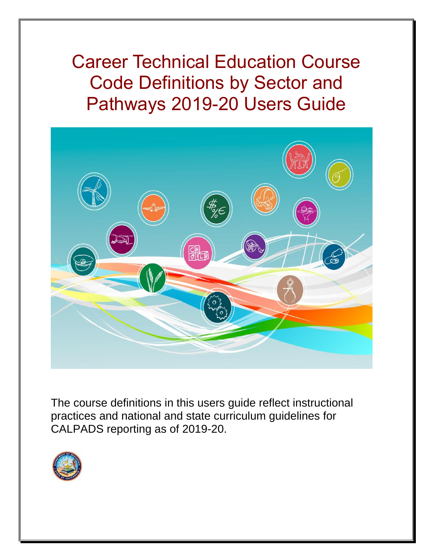Career Technical Education Course Code Definitions by Sector and Pathways 2019-20 Users Guide



The course definitions in this users guide reflect instructional practices and national and state curriculum guidelines for CALPADS reporting as of 2019-20.

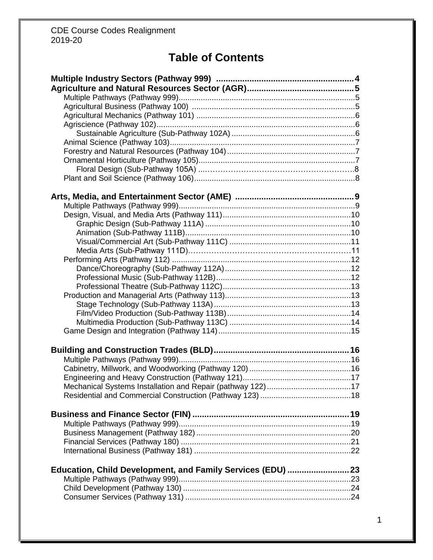# **Table of Contents**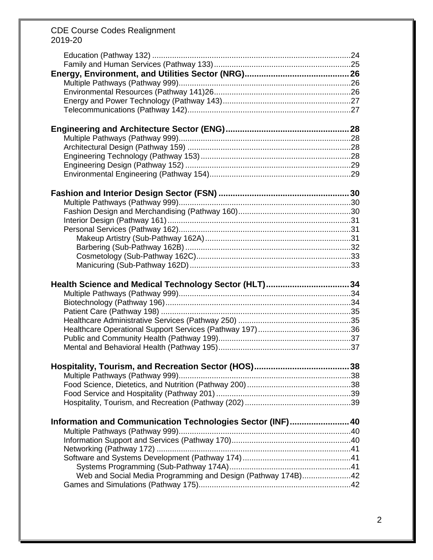| Health Science and Medical Technology Sector (HLT)34         |  |
|--------------------------------------------------------------|--|
|                                                              |  |
|                                                              |  |
|                                                              |  |
|                                                              |  |
|                                                              |  |
|                                                              |  |
|                                                              |  |
|                                                              |  |
|                                                              |  |
|                                                              |  |
|                                                              |  |
|                                                              |  |
| Information and Communication Technologies Sector (INF) 40   |  |
|                                                              |  |
|                                                              |  |
|                                                              |  |
|                                                              |  |
|                                                              |  |
| Web and Social Media Programming and Design (Pathway 174B)42 |  |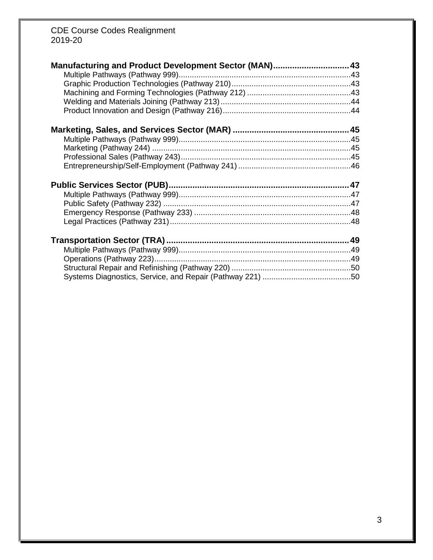| Manufacturing and Product Development Sector (MAN) 43 |  |
|-------------------------------------------------------|--|
|                                                       |  |
|                                                       |  |
|                                                       |  |
|                                                       |  |
|                                                       |  |
|                                                       |  |
|                                                       |  |
|                                                       |  |
|                                                       |  |
|                                                       |  |
|                                                       |  |
|                                                       |  |
|                                                       |  |
|                                                       |  |
|                                                       |  |
|                                                       |  |
|                                                       |  |
|                                                       |  |
|                                                       |  |
|                                                       |  |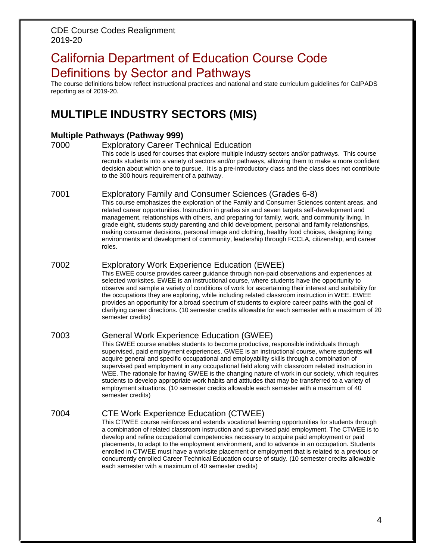# California Department of Education Course Code Definitions by Sector and Pathways

The course definitions below reflect instructional practices and national and state curriculum guidelines for CalPADS reporting as of 2019-20.

# **MULTIPLE INDUSTRY SECTORS (MIS)**

### **Multiple Pathways (Pathway 999)**

7000 Exploratory Career Technical Education

This code is used for courses that explore multiple industry sectors and/or pathways. This course recruits students into a variety of sectors and/or pathways, allowing them to make a more confident decision about which one to pursue. It is a pre-introductory class and the class does not contribute to the 300 hours requirement of a pathway.

### 7001 Exploratory Family and Consumer Sciences (Grades 6-8)

This course emphasizes the exploration of the Family and Consumer Sciences content areas, and related career opportunities. Instruction in grades six and seven targets self-development and management, relationships with others, and preparing for family, work, and community living. In grade eight, students study parenting and child development, personal and family relationships, making consumer decisions, personal image and clothing, healthy food choices, designing living environments and development of community, leadership through FCCLA, citizenship, and career roles.

# 7002 Exploratory Work Experience Education (EWEE)

This EWEE course provides career guidance through non-paid observations and experiences at selected worksites. EWEE is an instructional course, where students have the opportunity to observe and sample a variety of conditions of work for ascertaining their interest and suitability for the occupations they are exploring, while including related classroom instruction in WEE. EWEE provides an opportunity for a broad spectrum of students to explore career paths with the goal of clarifying career directions. (10 semester credits allowable for each semester with a maximum of 20 semester credits)

# 7003 General Work Experience Education (GWEE)

This GWEE course enables students to become productive, responsible individuals through supervised, paid employment experiences. GWEE is an instructional course, where students will acquire general and specific occupational and employability skills through a combination of supervised paid employment in any occupational field along with classroom related instruction in WEE. The rationale for having GWEE is the changing nature of work in our society, which requires students to develop appropriate work habits and attitudes that may be transferred to a variety of employment situations. (10 semester credits allowable each semester with a maximum of 40 semester credits)

# 7004 CTE Work Experience Education (CTWEE)

This CTWEE course reinforces and extends vocational learning opportunities for students through a combination of related classroom instruction and supervised paid employment. The CTWEE is to develop and refine occupational competencies necessary to acquire paid employment or paid placements, to adapt to the employment environment, and to advance in an occupation. Students enrolled in CTWEE must have a worksite placement or employment that is related to a previous or concurrently enrolled Career Technical Education course of study. (10 semester credits allowable each semester with a maximum of 40 semester credits)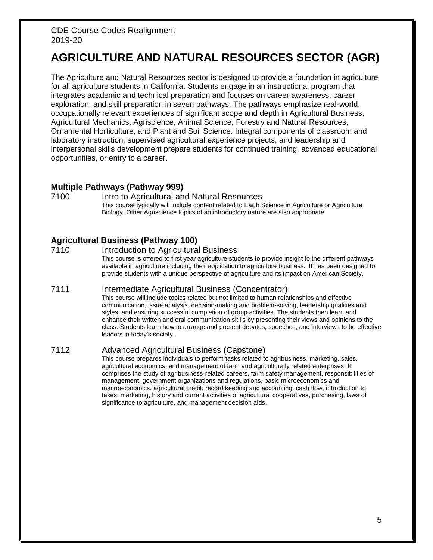# **AGRICULTURE AND NATURAL RESOURCES SECTOR (AGR)**

The Agriculture and Natural Resources sector is designed to provide a foundation in agriculture for all agriculture students in California. Students engage in an instructional program that integrates academic and technical preparation and focuses on career awareness, career exploration, and skill preparation in seven pathways. The pathways emphasize real-world, occupationally relevant experiences of significant scope and depth in Agricultural Business, Agricultural Mechanics, Agriscience, Animal Science, Forestry and Natural Resources, Ornamental Horticulture, and Plant and Soil Science. Integral components of classroom and laboratory instruction, supervised agricultural experience projects, and leadership and interpersonal skills development prepare students for continued training, advanced educational opportunities, or entry to a career.

# **Multiple Pathways (Pathway 999)**

7100 Intro to Agricultural and Natural Resources This course typically will include content related to Earth Science in Agriculture or Agriculture Biology. Other Agriscience topics of an introductory nature are also appropriate.

# **Agricultural Business (Pathway 100)**

7110 Introduction to Agricultural Business This course is offered to first year agriculture students to provide insight to the different pathways available in agriculture including their application to agriculture business. It has been designed to provide students with a unique perspective of agriculture and its impact on American Society.

#### 7111 Intermediate Agricultural Business (Concentrator)

This course will include topics related but not limited to human relationships and effective communication, issue analysis, decision-making and problem-solving, leadership qualities and styles, and ensuring successful completion of group activities. The students then learn and enhance their written and oral communication skills by presenting their views and opinions to the class. Students learn how to arrange and present debates, speeches, and interviews to be effective leaders in today's society.

# 7112 Advanced Agricultural Business (Capstone)

This course prepares individuals to perform tasks related to agribusiness, marketing, sales, agricultural economics, and management of farm and agriculturally related enterprises. It comprises the study of agribusiness-related careers, farm safety management, responsibilities of management, government organizations and regulations, basic microeconomics and macroeconomics, agricultural credit, record keeping and accounting, cash flow, introduction to taxes, marketing, history and current activities of agricultural cooperatives, purchasing, laws of significance to agriculture, and management decision aids.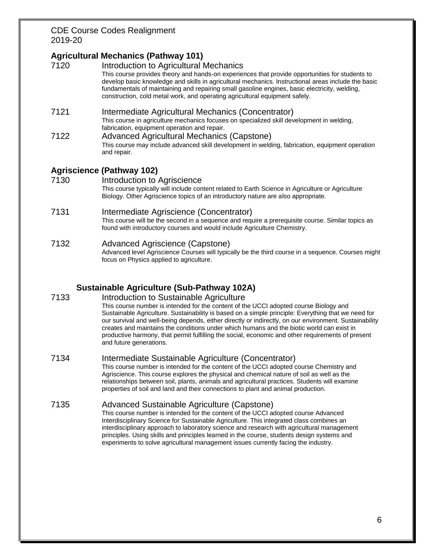# **Agricultural Mechanics (Pathway 101)**

7120 Introduction to Agricultural Mechanics This course provides theory and hands-on experiences that provide opportunities for students to develop basic knowledge and skills in agricultural mechanics. Instructional areas include the basic fundamentals of maintaining and repairing small gasoline engines, basic electricity, welding, construction, cold metal work, and operating agricultural equipment safely. 7121 Intermediate Agricultural Mechanics (Concentrator) This course in agriculture mechanics focuses on specialized skill development in welding, fabrication, equipment operation and repair. 7122 Advanced Agricultural Mechanics (Capstone) This course may include advanced skill development in welding, fabrication, equipment operation and repair.

# **Agriscience (Pathway 102)**

7130 Introduction to Agriscience This course typically will include content related to Earth Science in Agriculture or Agriculture Biology. Other Agriscience topics of an introductory nature are also appropriate.

#### 7131 Intermediate Agriscience (Concentrator)

This course will be the second in a sequence and require a prerequisite course. Similar topics as found with introductory courses and would include Agriculture Chemistry.

#### 7132 Advanced Agriscience (Capstone) Advanced level Agriscience Courses will typically be the third course in a sequence. Courses might focus on Physics applied to agriculture.

# **Sustainable Agriculture (Sub-Pathway 102A)**

#### 7133 Introduction to Sustainable Agriculture

This course number is intended for the content of the UCCI adopted course Biology and Sustainable Agriculture. Sustainability is based on a simple principle: Everything that we need for our survival and well-being depends, either directly or indirectly, on our environment. Sustainability creates and maintains the conditions under which humans and the biotic world can exist in productive harmony, that permit fulfilling the social, economic and other requirements of present and future generations.

#### 7134 Intermediate Sustainable Agriculture (Concentrator)

This course number is intended for the content of the UCCI adopted course Chemistry and Agriscience. This course explores the physical and chemical nature of soil as well as the relationships between soil, plants, animals and agricultural practices. Students will examine properties of soil and land and their connections to plant and animal production.

#### 7135 Advanced Sustainable Agriculture (Capstone)

This course number is intended for the content of the UCCI adopted course Advanced Interdisciplinary Science for Sustainable Agriculture. This integrated class combines an interdisciplinary approach to laboratory science and research with agricultural management principles. Using skills and principles learned in the course, students design systems and experiments to solve agricultural management issues currently facing the industry.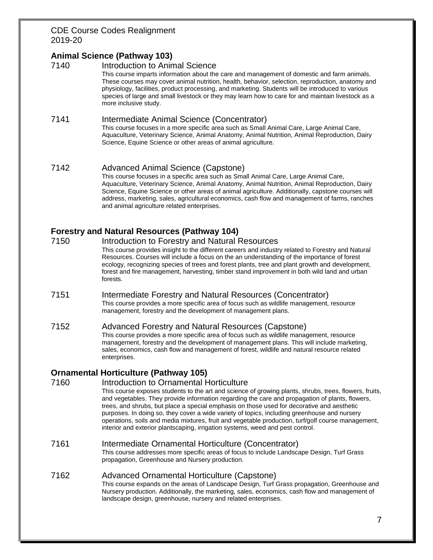# **Animal Science (Pathway 103)**

#### 7140 Introduction to Animal Science

This course imparts information about the care and management of domestic and farm animals. These courses may cover animal nutrition, health, behavior, selection, reproduction, anatomy and physiology, facilities, product processing, and marketing. Students will be introduced to various species of large and small livestock or they may learn how to care for and maintain livestock as a more inclusive study.

#### 7141 Intermediate Animal Science (Concentrator)

This course focuses in a more specific area such as Small Animal Care, Large Animal Care, Aquaculture, Veterinary Science, Animal Anatomy, Animal Nutrition, Animal Reproduction, Dairy Science, Equine Science or other areas of animal agriculture.

#### 7142 Advanced Animal Science (Capstone)

This course focuses in a specific area such as Small Animal Care, Large Animal Care, Aquaculture, Veterinary Science, Animal Anatomy, Animal Nutrition, Animal Reproduction, Dairy Science, Equine Science or other areas of animal agriculture. Additionally, capstone courses will address, marketing, sales, agricultural economics, cash flow and management of farms, ranches and animal agriculture related enterprises.

### **Forestry and Natural Resources (Pathway 104)**

- 7150 Introduction to Forestry and Natural Resources This course provides insight to the different careers and industry related to Forestry and Natural Resources. Courses will include a focus on the an understanding of the importance of forest ecology, recognizing species of trees and forest plants, tree and plant growth and development, forest and fire management, harvesting, timber stand improvement in both wild land and urban forests.
- 7151 Intermediate Forestry and Natural Resources (Concentrator) This course provides a more specific area of focus such as wildlife management, resource management, forestry and the development of management plans.

#### 7152 Advanced Forestry and Natural Resources (Capstone)

This course provides a more specific area of focus such as wildlife management, resource management, forestry and the development of management plans. This will include marketing, sales, economics, cash flow and management of forest, wildlife and natural resource related enterprises.

#### **Ornamental Horticulture (Pathway 105)**

#### 7160 Introduction to Ornamental Horticulture

This course exposes students to the art and science of growing plants, shrubs, trees, flowers, fruits, and vegetables. They provide information regarding the care and propagation of plants, flowers, trees, and shrubs, but place a special emphasis on those used for decorative and aesthetic purposes. In doing so, they cover a wide variety of topics, including greenhouse and nursery operations, soils and media mixtures, fruit and vegetable production, turf/golf course management, interior and exterior plantscaping, irrigation systems, weed and pest control.

#### 7161 Intermediate Ornamental Horticulture (Concentrator)

This course addresses more specific areas of focus to include Landscape Design, Turf Grass propagation, Greenhouse and Nursery production.

#### 7162 Advanced Ornamental Horticulture (Capstone)

This course expands on the areas of Landscape Design, Turf Grass propagation, Greenhouse and Nursery production. Additionally, the marketing, sales, economics, cash flow and management of landscape design, greenhouse, nursery and related enterprises.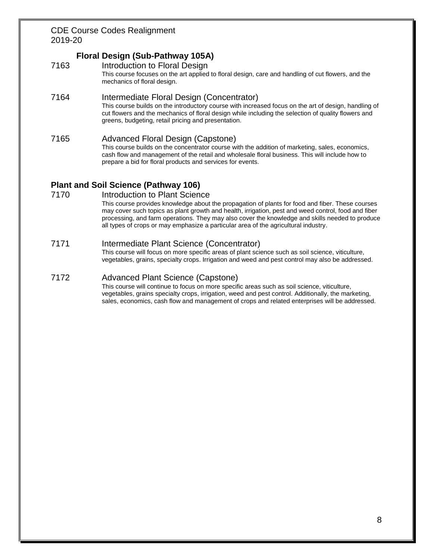# **Floral Design (Sub-Pathway 105A)**

7163 Introduction to Floral Design

This course focuses on the art applied to floral design, care and handling of cut flowers, and the mechanics of floral design.

### 7164 Intermediate Floral Design (Concentrator)

This course builds on the introductory course with increased focus on the art of design, handling of cut flowers and the mechanics of floral design while including the selection of quality flowers and greens, budgeting, retail pricing and presentation.

#### 7165 Advanced Floral Design (Capstone)

This course builds on the concentrator course with the addition of marketing, sales, economics, cash flow and management of the retail and wholesale floral business. This will include how to prepare a bid for floral products and services for events.

# **Plant and Soil Science (Pathway 106)**

#### 7170 Introduction to Plant Science

This course provides knowledge about the propagation of plants for food and fiber. These courses may cover such topics as plant growth and health, irrigation, pest and weed control, food and fiber processing, and farm operations. They may also cover the knowledge and skills needed to produce all types of crops or may emphasize a particular area of the agricultural industry.

#### 7171 Intermediate Plant Science (Concentrator)

This course will focus on more specific areas of plant science such as soil science, viticulture, vegetables, grains, specialty crops. Irrigation and weed and pest control may also be addressed.

#### 7172 Advanced Plant Science (Capstone)

This course will continue to focus on more specific areas such as soil science, viticulture, vegetables, grains specialty crops, irrigation, weed and pest control. Additionally, the marketing, sales, economics, cash flow and management of crops and related enterprises will be addressed.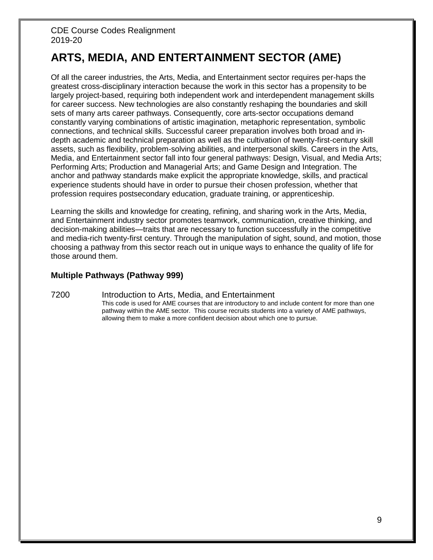# **ARTS, MEDIA, AND ENTERTAINMENT SECTOR (AME)**

Of all the career industries, the Arts, Media, and Entertainment sector requires per-haps the greatest cross-disciplinary interaction because the work in this sector has a propensity to be largely project-based, requiring both independent work and interdependent management skills for career success. New technologies are also constantly reshaping the boundaries and skill sets of many arts career pathways. Consequently, core arts-sector occupations demand constantly varying combinations of artistic imagination, metaphoric representation, symbolic connections, and technical skills. Successful career preparation involves both broad and indepth academic and technical preparation as well as the cultivation of twenty-first-century skill assets, such as flexibility, problem-solving abilities, and interpersonal skills. Careers in the Arts, Media, and Entertainment sector fall into four general pathways: Design, Visual, and Media Arts; Performing Arts; Production and Managerial Arts; and Game Design and Integration. The anchor and pathway standards make explicit the appropriate knowledge, skills, and practical experience students should have in order to pursue their chosen profession, whether that profession requires postsecondary education, graduate training, or apprenticeship.

Learning the skills and knowledge for creating, refining, and sharing work in the Arts, Media, and Entertainment industry sector promotes teamwork, communication, creative thinking, and decision-making abilities—traits that are necessary to function successfully in the competitive and media-rich twenty-first century. Through the manipulation of sight, sound, and motion, those choosing a pathway from this sector reach out in unique ways to enhance the quality of life for those around them.

# **Multiple Pathways (Pathway 999)**

#### 7200 Introduction to Arts, Media, and Entertainment This code is used for AME courses that are introductory to and include content for more than one pathway within the AME sector. This course recruits students into a variety of AME pathways, allowing them to make a more confident decision about which one to pursue.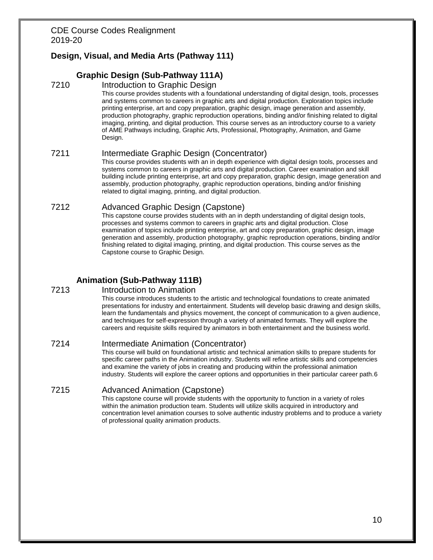# **Design, Visual, and Media Arts (Pathway 111)**

### **Graphic Design (Sub-Pathway 111A)**

#### 7210 Introduction to Graphic Design

This course provides students with a foundational understanding of digital design, tools, processes and systems common to careers in graphic arts and digital production. Exploration topics include printing enterprise, art and copy preparation, graphic design, image generation and assembly, production photography, graphic reproduction operations, binding and/or finishing related to digital imaging, printing, and digital production. This course serves as an introductory course to a variety of AME Pathways including, Graphic Arts, Professional, Photography, Animation, and Game Design.

### 7211 Intermediate Graphic Design (Concentrator)

This course provides students with an in depth experience with digital design tools, processes and systems common to careers in graphic arts and digital production. Career examination and skill building include printing enterprise, art and copy preparation, graphic design, image generation and assembly, production photography, graphic reproduction operations, binding and/or finishing related to digital imaging, printing, and digital production.

### 7212 Advanced Graphic Design (Capstone)

This capstone course provides students with an in depth understanding of digital design tools, processes and systems common to careers in graphic arts and digital production. Close examination of topics include printing enterprise, art and copy preparation, graphic design, image generation and assembly, production photography, graphic reproduction operations, binding and/or finishing related to digital imaging, printing, and digital production. This course serves as the Capstone course to Graphic Design.

# **Animation (Sub-Pathway 111B)**

#### 7213 Introduction to Animation

This course introduces students to the artistic and technological foundations to create animated presentations for industry and entertainment. Students will develop basic drawing and design skills, learn the fundamentals and physics movement, the concept of communication to a given audience, and techniques for self-expression through a variety of animated formats. They will explore the careers and requisite skills required by animators in both entertainment and the business world.

#### 7214 Intermediate Animation (Concentrator)

This course will build on foundational artistic and technical animation skills to prepare students for specific career paths in the Animation industry. Students will refine artistic skills and competencies and examine the variety of jobs in creating and producing within the professional animation industry. Students will explore the career options and opportunities in their particular career path.6

# 7215 Advanced Animation (Capstone)

This capstone course will provide students with the opportunity to function in a variety of roles within the animation production team. Students will utilize skills acquired in introductory and concentration level animation courses to solve authentic industry problems and to produce a variety of professional quality animation products.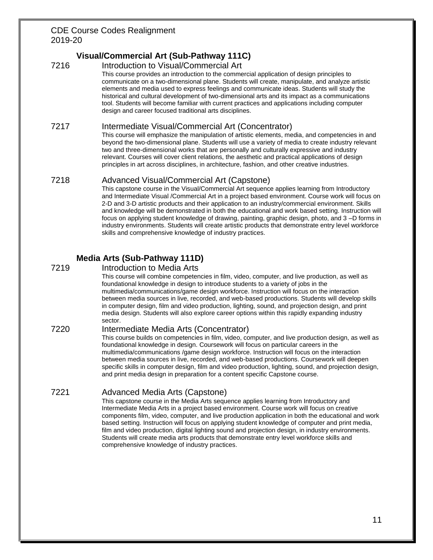# **Visual/Commercial Art (Sub-Pathway 111C)**

7216 Introduction to Visual/Commercial Art This course provides an introduction to the commercial application of design principles to communicate on a two-dimensional plane. Students will create, manipulate, and analyze artistic elements and media used to express feelings and communicate ideas. Students will study the historical and cultural development of two-dimensional arts and its impact as a communications tool. Students will become familiar with current practices and applications including computer design and career focused traditional arts disciplines.

#### 7217 Intermediate Visual/Commercial Art (Concentrator)

This course will emphasize the manipulation of artistic elements, media, and competencies in and beyond the two-dimensional plane. Students will use a variety of media to create industry relevant two and three-dimensional works that are personally and culturally expressive and industry relevant. Courses will cover client relations, the aesthetic and practical applications of design principles in art across disciplines, in architecture, fashion, and other creative industries.

#### 7218 Advanced Visual/Commercial Art (Capstone)

This capstone course in the Visual/Commercial Art sequence applies learning from Introductory and Intermediate Visual /Commercial Art in a project based environment. Course work will focus on 2-D and 3-D artistic products and their application to an industry/commercial environment. Skills and knowledge will be demonstrated in both the educational and work based setting. Instruction will focus on applying student knowledge of drawing, painting, graphic design, photo, and 3 –D forms in industry environments. Students will create artistic products that demonstrate entry level workforce skills and comprehensive knowledge of industry practices.

# **Media Arts (Sub-Pathway 111D)**

#### 7219 Introduction to Media Arts

This course will combine competencies in film, video, computer, and live production, as well as foundational knowledge in design to introduce students to a variety of jobs in the multimedia/communications/game design workforce. Instruction will focus on the interaction between media sources in live, recorded, and web-based productions. Students will develop skills in computer design, film and video production, lighting, sound, and projection design, and print media design. Students will also explore career options within this rapidly expanding industry sector.

#### 7220 Intermediate Media Arts (Concentrator)

This course builds on competencies in film, video, computer, and live production design, as well as foundational knowledge in design. Coursework will focus on particular careers in the multimedia/communications /game design workforce. Instruction will focus on the interaction between media sources in live, recorded, and web-based productions. Coursework will deepen specific skills in computer design, film and video production, lighting, sound, and projection design, and print media design in preparation for a content specific Capstone course.

#### 7221 Advanced Media Arts (Capstone)

This capstone course in the Media Arts sequence applies learning from Introductory and Intermediate Media Arts in a project based environment. Course work will focus on creative components film, video, computer, and live production application in both the educational and work based setting. Instruction will focus on applying student knowledge of computer and print media, film and video production, digital lighting sound and projection design, in industry environments. Students will create media arts products that demonstrate entry level workforce skills and comprehensive knowledge of industry practices.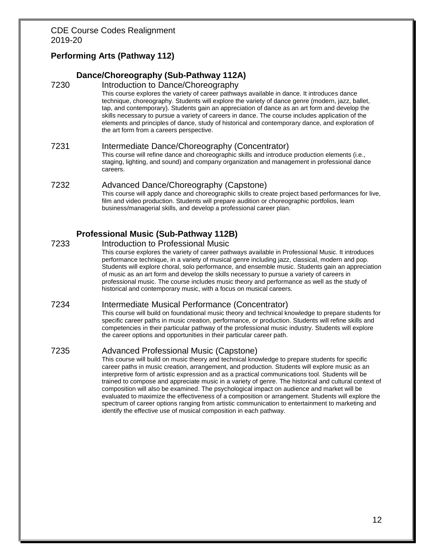# **Performing Arts (Pathway 112)**

#### **Dance/Choreography (Sub-Pathway 112A)**

- 7230 Introduction to Dance/Choreography This course explores the variety of career pathways available in dance. It introduces dance technique, choreography. Students will explore the variety of dance genre (modern, jazz, ballet, tap, and contemporary). Students gain an appreciation of dance as an art form and develop the skills necessary to pursue a variety of careers in dance. The course includes application of the elements and principles of dance, study of historical and contemporary dance, and exploration of the art form from a careers perspective.
- 7231 Intermediate Dance/Choreography (Concentrator) This course will refine dance and choreographic skills and introduce production elements (i.e., staging, lighting, and sound) and company organization and management in professional dance careers.

#### 7232 Advanced Dance/Choreography (Capstone)

This course will apply dance and choreographic skills to create project based performances for live, film and video production. Students will prepare audition or choreographic portfolios, learn business/managerial skills, and develop a professional career plan.

### **Professional Music (Sub-Pathway 112B)**

#### 7233 Introduction to Professional Music

This course explores the variety of career pathways available in Professional Music. It introduces performance technique, in a variety of musical genre including jazz, classical, modern and pop. Students will explore choral, solo performance, and ensemble music. Students gain an appreciation of music as an art form and develop the skills necessary to pursue a variety of careers in professional music. The course includes music theory and performance as well as the study of historical and contemporary music, with a focus on musical careers.

#### 7234 Intermediate Musical Performance (Concentrator)

This course will build on foundational music theory and technical knowledge to prepare students for specific career paths in music creation, performance, or production. Students will refine skills and competencies in their particular pathway of the professional music industry. Students will explore the career options and opportunities in their particular career path.

#### 7235 Advanced Professional Music (Capstone)

This course will build on music theory and technical knowledge to prepare students for specific career paths in music creation, arrangement, and production. Students will explore music as an interpretive form of artistic expression and as a practical communications tool. Students will be trained to compose and appreciate music in a variety of genre. The historical and cultural context of composition will also be examined. The psychological impact on audience and market will be evaluated to maximize the effectiveness of a composition or arrangement. Students will explore the spectrum of career options ranging from artistic communication to entertainment to marketing and identify the effective use of musical composition in each pathway.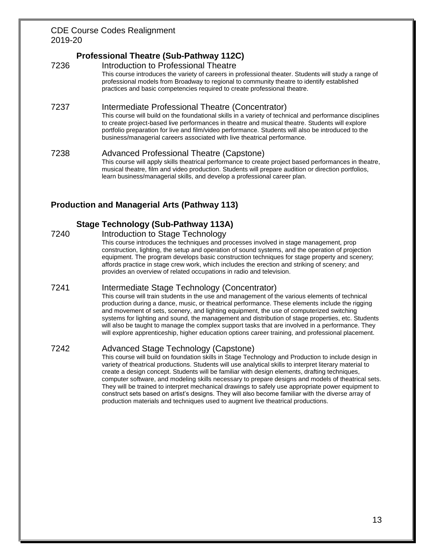# **Professional Theatre (Sub-Pathway 112C)**

7236 Introduction to Professional Theatre This course introduces the variety of careers in professional theater. Students will study a range of professional models from Broadway to regional to community theatre to identify established practices and basic competencies required to create professional theatre. 7237 Intermediate Professional Theatre (Concentrator) This course will build on the foundational skills in a variety of technical and performance disciplines to create project-based live performances in theatre and musical theatre. Students will explore portfolio preparation for live and film/video performance. Students will also be introduced to the business/managerial careers associated with live theatrical performance. 7238 Advanced Professional Theatre (Capstone) This course will apply skills theatrical performance to create project based performances in theatre,

musical theatre, film and video production. Students will prepare audition or direction portfolios, learn business/managerial skills, and develop a professional career plan.

# **Production and Managerial Arts (Pathway 113)**

# **Stage Technology (Sub-Pathway 113A)**

7240 Introduction to Stage Technology

This course introduces the techniques and processes involved in stage management, prop construction, lighting, the setup and operation of sound systems, and the operation of projection equipment. The program develops basic construction techniques for stage property and scenery; affords practice in stage crew work, which includes the erection and striking of scenery; and provides an overview of related occupations in radio and television.

# 7241 Intermediate Stage Technology (Concentrator)

This course will train students in the use and management of the various elements of technical production during a dance, music, or theatrical performance. These elements include the rigging and movement of sets, scenery, and lighting equipment, the use of computerized switching systems for lighting and sound, the management and distribution of stage properties, etc. Students will also be taught to manage the complex support tasks that are involved in a performance. They will explore apprenticeship, higher education options career training, and professional placement.

# 7242 Advanced Stage Technology (Capstone)

This course will build on foundation skills in Stage Technology and Production to include design in variety of theatrical productions. Students will use analytical skills to interpret literary material to create a design concept. Students will be familiar with design elements, drafting techniques, computer software, and modeling skills necessary to prepare designs and models of theatrical sets. They will be trained to interpret mechanical drawings to safely use appropriate power equipment to construct sets based on artist's designs. They will also become familiar with the diverse array of production materials and techniques used to augment live theatrical productions.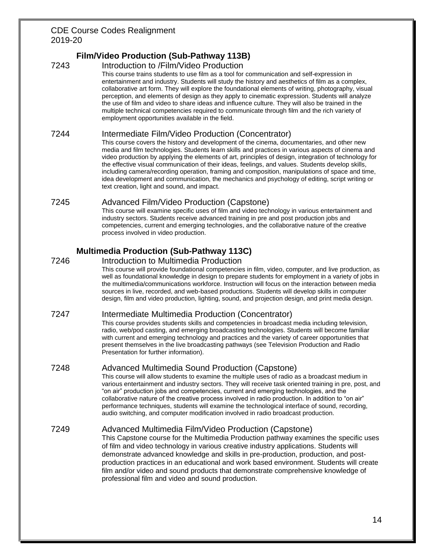# **Film/Video Production (Sub-Pathway 113B)**

#### 7243 Introduction to /Film/Video Production

This course trains students to use film as a tool for communication and self-expression in entertainment and industry. Students will study the history and aesthetics of film as a complex, collaborative art form. They will explore the foundational elements of writing, photography, visual perception, and elements of design as they apply to cinematic expression. Students will analyze the use of film and video to share ideas and influence culture. They will also be trained in the multiple technical competencies required to communicate through film and the rich variety of employment opportunities available in the field.

#### 7244 Intermediate Film/Video Production (Concentrator)

This course covers the history and development of the cinema, documentaries, and other new media and film technologies. Students learn skills and practices in various aspects of cinema and video production by applying the elements of art, principles of design, integration of technology for the effective visual communication of their ideas, feelings, and values. Students develop skills, including camera/recording operation, framing and composition, manipulations of space and time, idea development and communication, the mechanics and psychology of editing, script writing or text creation, light and sound, and impact.

# 7245 Advanced Film/Video Production (Capstone)

This course will examine specific uses of film and video technology in various entertainment and industry sectors. Students receive advanced training in pre and post production jobs and competencies, current and emerging technologies, and the collaborative nature of the creative process involved in video production.

# **Multimedia Production (Sub-Pathway 113C)**

#### 7246 Introduction to Multimedia Production

This course will provide foundational competencies in film, video, computer, and live production, as well as foundational knowledge in design to prepare students for employment in a variety of jobs in the multimedia/communications workforce. Instruction will focus on the interaction between media sources in live, recorded, and web-based productions. Students will develop skills in computer design, film and video production, lighting, sound, and projection design, and print media design.

# 7247 Intermediate Multimedia Production (Concentrator)

This course provides students skills and competencies in broadcast media including television, radio, web/pod casting, and emerging broadcasting technologies. Students will become familiar with current and emerging technology and practices and the variety of career opportunities that present themselves in the live broadcasting pathways (see Television Production and Radio Presentation for further information).

# 7248 Advanced Multimedia Sound Production (Capstone)

This course will allow students to examine the multiple uses of radio as a broadcast medium in various entertainment and industry sectors. They will receive task oriented training in pre, post, and "on air" production jobs and competencies, current and emerging technologies, and the collaborative nature of the creative process involved in radio production. In addition to "on air" performance techniques, students will examine the technological interface of sound, recording, audio switching, and computer modification involved in radio broadcast production.

# 7249 Advanced Multimedia Film/Video Production (Capstone)

This Capstone course for the Multimedia Production pathway examines the specific uses of film and video technology in various creative industry applications. Students will demonstrate advanced knowledge and skills in pre-production, production, and postproduction practices in an educational and work based environment. Students will create film and/or video and sound products that demonstrate comprehensive knowledge of professional film and video and sound production.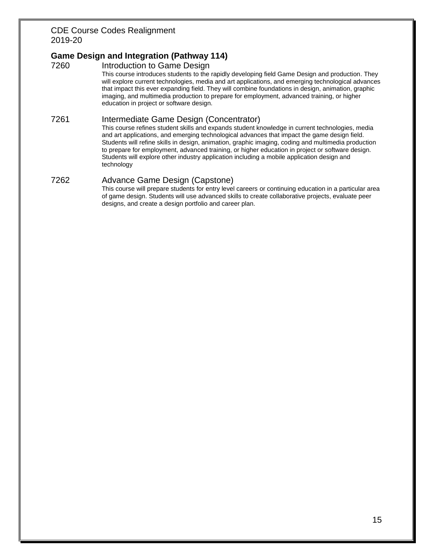# **Game Design and Integration (Pathway 114)**

7260 Introduction to Game Design

This course introduces students to the rapidly developing field Game Design and production. They will explore current technologies, media and art applications, and emerging technological advances that impact this ever expanding field. They will combine foundations in design, animation, graphic imaging, and multimedia production to prepare for employment, advanced training, or higher education in project or software design.

### 7261 Intermediate Game Design (Concentrator)

This course refines student skills and expands student knowledge in current technologies, media and art applications, and emerging technological advances that impact the game design field. Students will refine skills in design, animation, graphic imaging, coding and multimedia production to prepare for employment, advanced training, or higher education in project or software design. Students will explore other industry application including a mobile application design and technology

#### 7262 Advance Game Design (Capstone)

This course will prepare students for entry level careers or continuing education in a particular area of game design. Students will use advanced skills to create collaborative projects, evaluate peer designs, and create a design portfolio and career plan.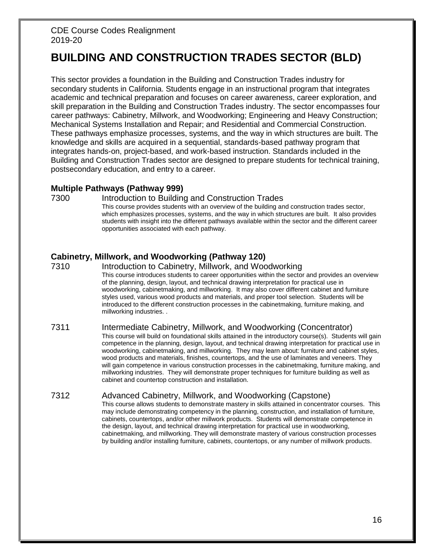# **BUILDING AND CONSTRUCTION TRADES SECTOR (BLD)**

This sector provides a foundation in the Building and Construction Trades industry for secondary students in California. Students engage in an instructional program that integrates academic and technical preparation and focuses on career awareness, career exploration, and skill preparation in the Building and Construction Trades industry. The sector encompasses four career pathways: Cabinetry, Millwork, and Woodworking; Engineering and Heavy Construction; Mechanical Systems Installation and Repair; and Residential and Commercial Construction. These pathways emphasize processes, systems, and the way in which structures are built. The knowledge and skills are acquired in a sequential, standards-based pathway program that integrates hands-on, project-based, and work-based instruction. Standards included in the Building and Construction Trades sector are designed to prepare students for technical training, postsecondary education, and entry to a career.

### **Multiple Pathways (Pathway 999)**

#### 7300 Introduction to Building and Construction Trades

This course provides students with an overview of the building and construction trades sector, which emphasizes processes, systems, and the way in which structures are built. It also provides students with insight into the different pathways available within the sector and the different career opportunities associated with each pathway.

# **Cabinetry, Millwork, and Woodworking (Pathway 120)**

7310 Introduction to Cabinetry, Millwork, and Woodworking This course introduces students to career opportunities within the sector and provides an overview of the planning, design, layout, and technical drawing interpretation for practical use in woodworking, cabinetmaking, and millworking. It may also cover different cabinet and furniture styles used, various wood products and materials, and proper tool selection. Students will be introduced to the different construction processes in the cabinetmaking, furniture making, and millworking industries. .

#### 7311 Intermediate Cabinetry, Millwork, and Woodworking (Concentrator) This course will build on foundational skills attained in the introductory course(s). Students will gain competence in the planning, design, layout, and technical drawing interpretation for practical use in woodworking, cabinetmaking, and millworking. They may learn about: furniture and cabinet styles, wood products and materials, finishes, countertops, and the use of laminates and veneers. They will gain competence in various construction processes in the cabinetmaking, furniture making, and millworking industries. They will demonstrate proper techniques for furniture building as well as cabinet and countertop construction and installation.

#### 7312 Advanced Cabinetry, Millwork, and Woodworking (Capstone)

This course allows students to demonstrate mastery in skills attained in concentrator courses. This may include demonstrating competency in the planning, construction, and installation of furniture, cabinets, countertops, and/or other millwork products. Students will demonstrate competence in the design, layout, and technical drawing interpretation for practical use in woodworking, cabinetmaking, and millworking. They will demonstrate mastery of various construction processes by building and/or installing furniture, cabinets, countertops, or any number of millwork products.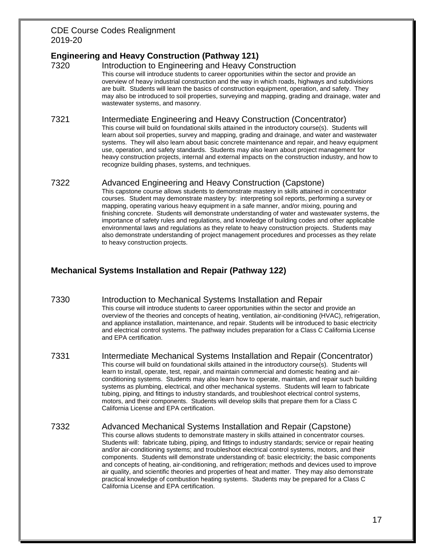# **Engineering and Heavy Construction (Pathway 121)**

7320 Introduction to Engineering and Heavy Construction This course will introduce students to career opportunities within the sector and provide an overview of heavy industrial construction and the way in which roads, highways and subdivisions are built. Students will learn the basics of construction equipment, operation, and safety. They may also be introduced to soil properties, surveying and mapping, grading and drainage, water and wastewater systems, and masonry.

#### 7321 Intermediate Engineering and Heavy Construction (Concentrator)

This course will build on foundational skills attained in the introductory course(s). Students will learn about soil properties, survey and mapping, grading and drainage, and water and wastewater systems. They will also learn about basic concrete maintenance and repair, and heavy equipment use, operation, and safety standards. Students may also learn about project management for heavy construction projects, internal and external impacts on the construction industry, and how to recognize building phases, systems, and techniques.

# 7322 Advanced Engineering and Heavy Construction (Capstone)

This capstone course allows students to demonstrate mastery in skills attained in concentrator courses. Student may demonstrate mastery by: interpreting soil reports, performing a survey or mapping, operating various heavy equipment in a safe manner, and/or mixing, pouring and finishing concrete. Students will demonstrate understanding of water and wastewater systems, the importance of safety rules and regulations, and knowledge of building codes and other applicable environmental laws and regulations as they relate to heavy construction projects. Students may also demonstrate understanding of project management procedures and processes as they relate to heavy construction projects.

# **Mechanical Systems Installation and Repair (Pathway 122)**

- 7330 Introduction to Mechanical Systems Installation and Repair This course will introduce students to career opportunities within the sector and provide an overview of the theories and concepts of heating, ventilation, air-conditioning (HVAC), refrigeration, and appliance installation, maintenance, and repair. Students will be introduced to basic electricity and electrical control systems. The pathway includes preparation for a Class C California License and EPA certification.
- 7331 Intermediate Mechanical Systems Installation and Repair (Concentrator) This course will build on foundational skills attained in the introductory course(s). Students will learn to install, operate, test, repair, and maintain commercial and domestic heating and airconditioning systems. Students may also learn how to operate, maintain, and repair such building systems as plumbing, electrical, and other mechanical systems. Students will learn to fabricate tubing, piping, and fittings to industry standards, and troubleshoot electrical control systems, motors, and their components. Students will develop skills that prepare them for a Class C California License and EPA certification.
- 7332 Advanced Mechanical Systems Installation and Repair (Capstone) This course allows students to demonstrate mastery in skills attained in concentrator courses. Students will: fabricate tubing, piping, and fittings to industry standards; service or repair heating and/or air-conditioning systems; and troubleshoot electrical control systems, motors, and their components. Students will demonstrate understanding of: basic electricity; the basic components and concepts of heating, air-conditioning, and refrigeration; methods and devices used to improve air quality, and scientific theories and properties of heat and matter. They may also demonstrate practical knowledge of combustion heating systems. Students may be prepared for a Class C California License and EPA certification.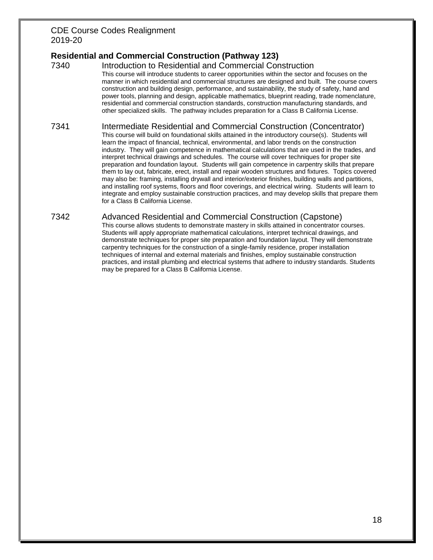# **Residential and Commercial Construction (Pathway 123)**

7340 Introduction to Residential and Commercial Construction This course will introduce students to career opportunities within the sector and focuses on the manner in which residential and commercial structures are designed and built. The course covers construction and building design, performance, and sustainability, the study of safety, hand and power tools, planning and design, applicable mathematics, blueprint reading, trade nomenclature, residential and commercial construction standards, construction manufacturing standards, and other specialized skills. The pathway includes preparation for a Class B California License.

#### 7341 Intermediate Residential and Commercial Construction (Concentrator)

This course will build on foundational skills attained in the introductory course(s). Students will learn the impact of financial, technical, environmental, and labor trends on the construction industry. They will gain competence in mathematical calculations that are used in the trades, and interpret technical drawings and schedules. The course will cover techniques for proper site preparation and foundation layout. Students will gain competence in carpentry skills that prepare them to lay out, fabricate, erect, install and repair wooden structures and fixtures. Topics covered may also be: framing, installing drywall and interior/exterior finishes, building walls and partitions, and installing roof systems, floors and floor coverings, and electrical wiring. Students will learn to integrate and employ sustainable construction practices, and may develop skills that prepare them for a Class B California License.

#### 7342 Advanced Residential and Commercial Construction (Capstone)

This course allows students to demonstrate mastery in skills attained in concentrator courses. Students will apply appropriate mathematical calculations, interpret technical drawings, and demonstrate techniques for proper site preparation and foundation layout. They will demonstrate carpentry techniques for the construction of a single-family residence, proper installation techniques of internal and external materials and finishes, employ sustainable construction practices, and install plumbing and electrical systems that adhere to industry standards. Students may be prepared for a Class B California License.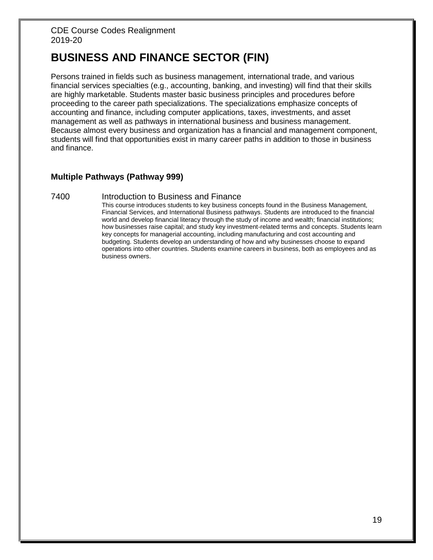# **BUSINESS AND FINANCE SECTOR (FIN)**

Persons trained in fields such as business management, international trade, and various financial services specialties (e.g., accounting, banking, and investing) will find that their skills are highly marketable. Students master basic business principles and procedures before proceeding to the career path specializations. The specializations emphasize concepts of accounting and finance, including computer applications, taxes, investments, and asset management as well as pathways in international business and business management. Because almost every business and organization has a financial and management component, students will find that opportunities exist in many career paths in addition to those in business and finance.

# **Multiple Pathways (Pathway 999)**

#### 7400 Introduction to Business and Finance

This course introduces students to key business concepts found in the Business Management, Financial Services, and International Business pathways. Students are introduced to the financial world and develop financial literacy through the study of income and wealth; financial institutions; how businesses raise capital; and study key investment-related terms and concepts. Students learn key concepts for managerial accounting, including manufacturing and cost accounting and budgeting. Students develop an understanding of how and why businesses choose to expand operations into other countries. Students examine careers in business, both as employees and as business owners.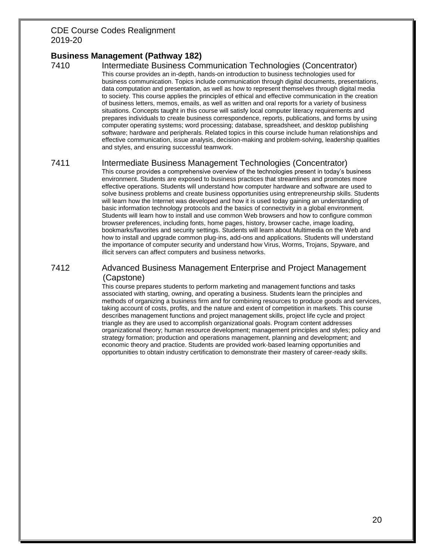# **Business Management (Pathway 182)**

7410 Intermediate Business Communication Technologies (Concentrator) This course provides an in-depth, hands-on introduction to business technologies used for business communication. Topics include communication through digital documents, presentations, data computation and presentation, as well as how to represent themselves through digital media to society. This course applies the principles of ethical and effective communication in the creation of business letters, memos, emails, as well as written and oral reports for a variety of business situations. Concepts taught in this course will satisfy local computer literacy requirements and prepares individuals to create business correspondence, reports, publications, and forms by using computer operating systems; word processing; database, spreadsheet, and desktop publishing software; hardware and peripherals. Related topics in this course include human relationships and effective communication, issue analysis, decision-making and problem-solving, leadership qualities and styles, and ensuring successful teamwork.

#### 7411 Intermediate Business Management Technologies (Concentrator)

This course provides a comprehensive overview of the technologies present in today's business environment. Students are exposed to business practices that streamlines and promotes more effective operations. Students will understand how computer hardware and software are used to solve business problems and create business opportunities using entrepreneurship skills. Students will learn how the Internet was developed and how it is used today gaining an understanding of basic information technology protocols and the basics of connectivity in a global environment. Students will learn how to install and use common Web browsers and how to configure common browser preferences, including fonts, home pages, history, browser cache, image loading, bookmarks/favorites and security settings. Students will learn about Multimedia on the Web and how to install and upgrade common plug-ins, add-ons and applications. Students will understand the importance of computer security and understand how Virus, Worms, Trojans, Spyware, and illicit servers can affect computers and business networks.

#### 7412 Advanced Business Management Enterprise and Project Management (Capstone)

This course prepares students to perform marketing and management functions and tasks associated with starting, owning, and operating a business. Students learn the principles and methods of organizing a business firm and for combining resources to produce goods and services, taking account of costs, profits, and the nature and extent of competition in markets. This course describes management functions and project management skills, project life cycle and project triangle as they are used to accomplish organizational goals. Program content addresses organizational theory; human resource development; management principles and styles; policy and strategy formation; production and operations management, planning and development; and economic theory and practice. Students are provided work-based learning opportunities and opportunities to obtain industry certification to demonstrate their mastery of career-ready skills.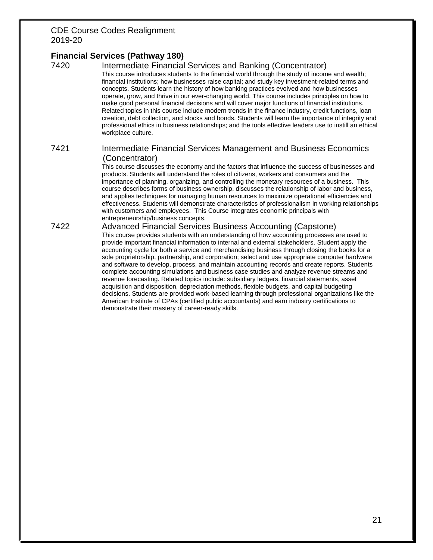# **Financial Services (Pathway 180)**

# 7420 Intermediate Financial Services and Banking (Concentrator)

This course introduces students to the financial world through the study of income and wealth; financial institutions; how businesses raise capital; and study key investment-related terms and concepts. Students learn the history of how banking practices evolved and how businesses operate, grow, and thrive in our ever-changing world. This course includes principles on how to make good personal financial decisions and will cover major functions of financial institutions. Related topics in this course include modern trends in the finance industry, credit functions, loan creation, debt collection, and stocks and bonds. Students will learn the importance of integrity and professional ethics in business relationships; and the tools effective leaders use to instill an ethical workplace culture.

#### 7421 Intermediate Financial Services Management and Business Economics (Concentrator)

This course discusses the economy and the factors that influence the success of businesses and products. Students will understand the roles of citizens, workers and consumers and the importance of planning, organizing, and controlling the monetary resources of a business. This course describes forms of business ownership, discusses the relationship of labor and business, and applies techniques for managing human resources to maximize operational efficiencies and effectiveness. Students will demonstrate characteristics of professionalism in working relationships with customers and employees. This Course integrates economic principals with entrepreneurship/business concepts.

#### 7422 Advanced Financial Services Business Accounting (Capstone)

This course provides students with an understanding of how accounting processes are used to provide important financial information to internal and external stakeholders. Student apply the accounting cycle for both a service and merchandising business through closing the books for a sole proprietorship, partnership, and corporation; select and use appropriate computer hardware and software to develop, process, and maintain accounting records and create reports. Students complete accounting simulations and business case studies and analyze revenue streams and revenue forecasting. Related topics include: subsidiary ledgers, financial statements, asset acquisition and disposition, depreciation methods, flexible budgets, and capital budgeting decisions. Students are provided work-based learning through professional organizations like the American Institute of CPAs (certified public accountants) and earn industry certifications to demonstrate their mastery of career-ready skills.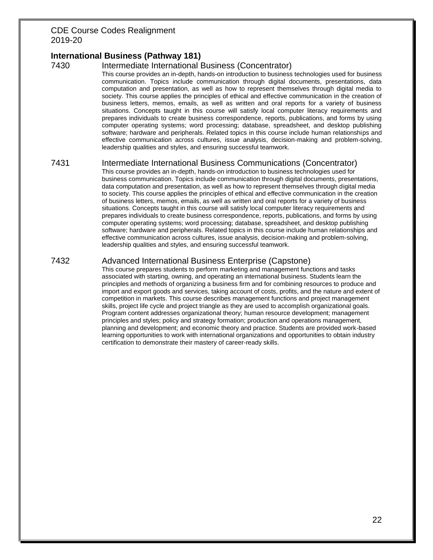# **International Business (Pathway 181)**

#### 7430 Intermediate International Business (Concentrator)

This course provides an in-depth, hands-on introduction to business technologies used for business communication. Topics include communication through digital documents, presentations, data computation and presentation, as well as how to represent themselves through digital media to society. This course applies the principles of ethical and effective communication in the creation of business letters, memos, emails, as well as written and oral reports for a variety of business situations. Concepts taught in this course will satisfy local computer literacy requirements and prepares individuals to create business correspondence, reports, publications, and forms by using computer operating systems; word processing; database, spreadsheet, and desktop publishing software; hardware and peripherals. Related topics in this course include human relationships and effective communication across cultures, issue analysis, decision-making and problem-solving, leadership qualities and styles, and ensuring successful teamwork.

#### 7431 Intermediate International Business Communications (Concentrator)

This course provides an in-depth, hands-on introduction to business technologies used for business communication. Topics include communication through digital documents, presentations, data computation and presentation, as well as how to represent themselves through digital media to society. This course applies the principles of ethical and effective communication in the creation of business letters, memos, emails, as well as written and oral reports for a variety of business situations. Concepts taught in this course will satisfy local computer literacy requirements and prepares individuals to create business correspondence, reports, publications, and forms by using computer operating systems; word processing; database, spreadsheet, and desktop publishing software; hardware and peripherals. Related topics in this course include human relationships and effective communication across cultures, issue analysis, decision-making and problem-solving, leadership qualities and styles, and ensuring successful teamwork.

# 7432 Advanced International Business Enterprise (Capstone)

This course prepares students to perform marketing and management functions and tasks associated with starting, owning, and operating an international business. Students learn the principles and methods of organizing a business firm and for combining resources to produce and import and export goods and services, taking account of costs, profits, and the nature and extent of competition in markets. This course describes management functions and project management skills, project life cycle and project triangle as they are used to accomplish organizational goals. Program content addresses organizational theory; human resource development; management principles and styles; policy and strategy formation; production and operations management, planning and development; and economic theory and practice. Students are provided work-based learning opportunities to work with international organizations and opportunities to obtain industry certification to demonstrate their mastery of career-ready skills.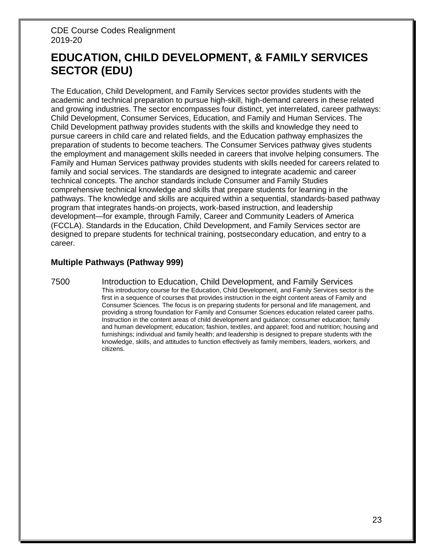# **EDUCATION, CHILD DEVELOPMENT, & FAMILY SERVICES SECTOR (EDU)**

The Education, Child Development, and Family Services sector provides students with the academic and technical preparation to pursue high-skill, high-demand careers in these related and growing industries. The sector encompasses four distinct, yet interrelated, career pathways: Child Development, Consumer Services, Education, and Family and Human Services. The Child Development pathway provides students with the skills and knowledge they need to pursue careers in child care and related fields, and the Education pathway emphasizes the preparation of students to become teachers. The Consumer Services pathway gives students the employment and management skills needed in careers that involve helping consumers. The Family and Human Services pathway provides students with skills needed for careers related to family and social services. The standards are designed to integrate academic and career technical concepts. The anchor standards include Consumer and Family Studies comprehensive technical knowledge and skills that prepare students for learning in the pathways. The knowledge and skills are acquired within a sequential, standards-based pathway program that integrates hands-on projects, work-based instruction, and leadership development—for example, through Family, Career and Community Leaders of America (FCCLA). Standards in the Education, Child Development, and Family Services sector are designed to prepare students for technical training, postsecondary education, and entry to a career.

# **Multiple Pathways (Pathway 999)**

7500 Introduction to Education, Child Development, and Family Services This introductory course for the Education, Child Development, and Family Services sector is the first in a sequence of courses that provides instruction in the eight content areas of Family and Consumer Sciences. The focus is on preparing students for personal and life management, and providing a strong foundation for Family and Consumer Sciences education related career paths. Instruction in the content areas of child development and guidance; consumer education; family and human development; education; fashion, textiles, and apparel; food and nutrition; housing and furnishings; individual and family health; and leadership is designed to prepare students with the knowledge, skills, and attitudes to function effectively as family members, leaders, workers, and citizens.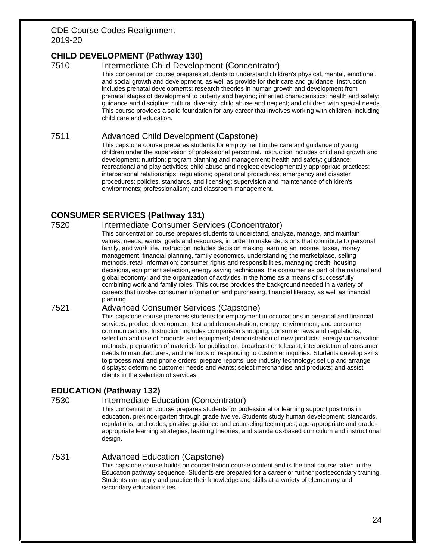# **CHILD DEVELOPMENT (Pathway 130)**

### 7510 Intermediate Child Development (Concentrator)

This concentration course prepares students to understand children's physical, mental, emotional, and social growth and development, as well as provide for their care and guidance. Instruction includes prenatal developments; research theories in human growth and development from prenatal stages of development to puberty and beyond; inherited characteristics; health and safety; guidance and discipline; cultural diversity; child abuse and neglect; and children with special needs. This course provides a solid foundation for any career that involves working with children, including child care and education.

#### 7511 Advanced Child Development (Capstone)

This capstone course prepares students for employment in the care and guidance of young children under the supervision of professional personnel. Instruction includes child and growth and development; nutrition; program planning and management; health and safety; guidance; recreational and play activities; child abuse and neglect; developmentally appropriate practices; interpersonal relationships; regulations; operational procedures; emergency and disaster procedures; policies, standards, and licensing; supervision and maintenance of children's environments; professionalism; and classroom management.

# **CONSUMER SERVICES (Pathway 131)**

#### 7520 Intermediate Consumer Services (Concentrator)

This concentration course prepares students to understand, analyze, manage, and maintain values, needs, wants, goals and resources, in order to make decisions that contribute to personal, family, and work life. Instruction includes decision making; earning an income, taxes, money management, financial planning, family economics, understanding the marketplace, selling methods, retail information; consumer rights and responsibilities, managing credit; housing decisions, equipment selection, energy saving techniques; the consumer as part of the national and global economy; and the organization of activities in the home as a means of successfully combining work and family roles. This course provides the background needed in a variety of careers that involve consumer information and purchasing, financial literacy, as well as financial planning.

#### 7521 Advanced Consumer Services (Capstone)

This capstone course prepares students for employment in occupations in personal and financial services; product development, test and demonstration; energy; environment; and consumer communications. Instruction includes comparison shopping; consumer laws and regulations; selection and use of products and equipment; demonstration of new products; energy conservation methods; preparation of materials for publication, broadcast or telecast; interpretation of consumer needs to manufacturers, and methods of responding to customer inquiries. Students develop skills to process mail and phone orders; prepare reports; use industry technology; set up and arrange displays; determine customer needs and wants; select merchandise and products; and assist clients in the selection of services.

# **EDUCATION (Pathway 132)**

# 7530 Intermediate Education (Concentrator)

This concentration course prepares students for professional or learning support positions in education, prekindergarten through grade twelve. Students study human development; standards, regulations, and codes; positive guidance and counseling techniques; age-appropriate and gradeappropriate learning strategies; learning theories; and standards-based curriculum and instructional design.

#### 7531 Advanced Education (Capstone)

This capstone course builds on concentration course content and is the final course taken in the Education pathway sequence. Students are prepared for a career or further postsecondary training. Students can apply and practice their knowledge and skills at a variety of elementary and secondary education sites.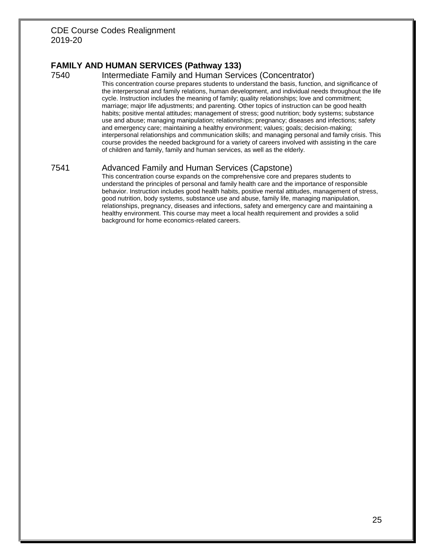# **FAMILY AND HUMAN SERVICES (Pathway 133)**

#### 7540 Intermediate Family and Human Services (Concentrator)

This concentration course prepares students to understand the basis, function, and significance of the interpersonal and family relations, human development, and individual needs throughout the life cycle. Instruction includes the meaning of family; quality relationships; love and commitment; marriage; major life adjustments; and parenting. Other topics of instruction can be good health habits; positive mental attitudes; management of stress; good nutrition; body systems; substance use and abuse; managing manipulation; relationships; pregnancy; diseases and infections; safety and emergency care; maintaining a healthy environment; values; goals; decision-making; interpersonal relationships and communication skills; and managing personal and family crisis. This course provides the needed background for a variety of careers involved with assisting in the care of children and family, family and human services, as well as the elderly.

#### 7541 Advanced Family and Human Services (Capstone)

This concentration course expands on the comprehensive core and prepares students to understand the principles of personal and family health care and the importance of responsible behavior. Instruction includes good health habits, positive mental attitudes, management of stress, good nutrition, body systems, substance use and abuse, family life, managing manipulation, relationships, pregnancy, diseases and infections, safety and emergency care and maintaining a healthy environment. This course may meet a local health requirement and provides a solid background for home economics-related careers.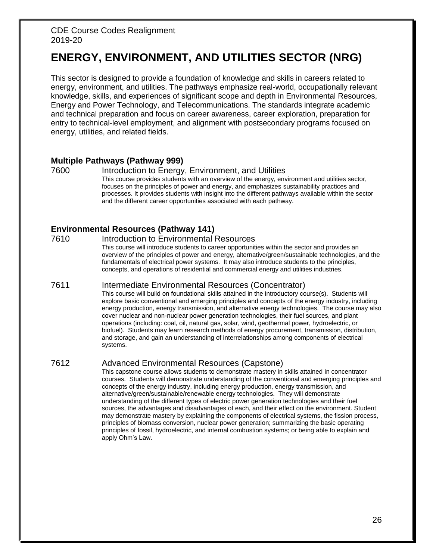# **ENERGY, ENVIRONMENT, AND UTILITIES SECTOR (NRG)**

This sector is designed to provide a foundation of knowledge and skills in careers related to energy, environment, and utilities. The pathways emphasize real-world, occupationally relevant knowledge, skills, and experiences of significant scope and depth in Environmental Resources, Energy and Power Technology, and Telecommunications. The standards integrate academic and technical preparation and focus on career awareness, career exploration, preparation for entry to technical-level employment, and alignment with postsecondary programs focused on energy, utilities, and related fields.

### **Multiple Pathways (Pathway 999)**

#### 7600 Introduction to Energy, Environment, and Utilities

This course provides students with an overview of the energy, environment and utilities sector, focuses on the principles of power and energy, and emphasizes sustainability practices and processes. It provides students with insight into the different pathways available within the sector and the different career opportunities associated with each pathway.

# **Environmental Resources (Pathway 141)**

#### 7610 Introduction to Environmental Resources

This course will introduce students to career opportunities within the sector and provides an overview of the principles of power and energy, alternative/green/sustainable technologies, and the fundamentals of electrical power systems. It may also introduce students to the principles, concepts, and operations of residential and commercial energy and utilities industries.

#### 7611 Intermediate Environmental Resources (Concentrator)

This course will build on foundational skills attained in the introductory course(s). Students will explore basic conventional and emerging principles and concepts of the energy industry, including energy production, energy transmission, and alternative energy technologies. The course may also cover nuclear and non-nuclear power generation technologies, their fuel sources, and plant operations (including: coal, oil, natural gas, solar, wind, geothermal power, hydroelectric, or biofuel). Students may learn research methods of energy procurement, transmission, distribution, and storage, and gain an understanding of interrelationships among components of electrical systems.

#### 7612 Advanced Environmental Resources (Capstone)

This capstone course allows students to demonstrate mastery in skills attained in concentrator courses. Students will demonstrate understanding of the conventional and emerging principles and concepts of the energy industry, including energy production, energy transmission, and alternative/green/sustainable/renewable energy technologies. They will demonstrate understanding of the different types of electric power generation technologies and their fuel sources, the advantages and disadvantages of each, and their effect on the environment. Student may demonstrate mastery by explaining the components of electrical systems, the fission process, principles of biomass conversion, nuclear power generation; summarizing the basic operating principles of fossil, hydroelectric, and internal combustion systems; or being able to explain and apply Ohm's Law.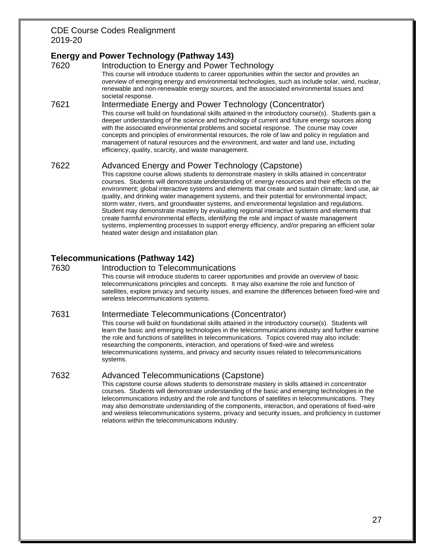# **Energy and Power Technology (Pathway 143)**

7620 Introduction to Energy and Power Technology This course will introduce students to career opportunities within the sector and provides an overview of emerging energy and environmental technologies, such as include solar, wind, nuclear, renewable and non-renewable energy sources, and the associated environmental issues and societal response.

#### 7621 Intermediate Energy and Power Technology (Concentrator) This course will build on foundational skills attained in the introductory course(s). Students gain a deeper understanding of the science and technology of current and future energy sources along with the associated environmental problems and societal response. The course may cover concepts and principles of environmental resources, the role of law and policy in regulation and management of natural resources and the environment, and water and land use, including efficiency, quality, scarcity, and waste management.

# 7622 Advanced Energy and Power Technology (Capstone)

This capstone course allows students to demonstrate mastery in skills attained in concentrator courses. Students will demonstrate understanding of: energy resources and their effects on the environment; global interactive systems and elements that create and sustain climate; land use, air quality, and drinking water management systems, and their potential for environmental impact; storm water, rivers, and groundwater systems, and environmental legislation and regulations. Student may demonstrate mastery by evaluating regional interactive systems and elements that create harmful environmental effects, identifying the role and impact of waste management systems, implementing processes to support energy efficiency, and/or preparing an efficient solar heated water design and installation plan.

# **Telecommunications (Pathway 142)**

7630 Introduction to Telecommunications This course will introduce students to career opportunities and provide an overview of basic telecommunications principles and concepts. It may also examine the role and function of satellites, explore privacy and security issues, and examine the differences between fixed-wire and wireless telecommunications systems.

#### 7631 Intermediate Telecommunications (Concentrator)

This course will build on foundational skills attained in the introductory course(s). Students will learn the basic and emerging technologies in the telecommunications industry and further examine the role and functions of satellites in telecommunications. Topics covered may also include: researching the components, interaction, and operations of fixed-wire and wireless telecommunications systems, and privacy and security issues related to telecommunications systems.

# 7632 Advanced Telecommunications (Capstone)

This capstone course allows students to demonstrate mastery in skills attained in concentrator courses. Students will demonstrate understanding of the basic and emerging technologies in the telecommunications industry and the role and functions of satellites in telecommunications. They may also demonstrate understanding of the components, interaction, and operations of fixed-wire and wireless telecommunications systems, privacy and security issues, and proficiency in customer relations within the telecommunications industry.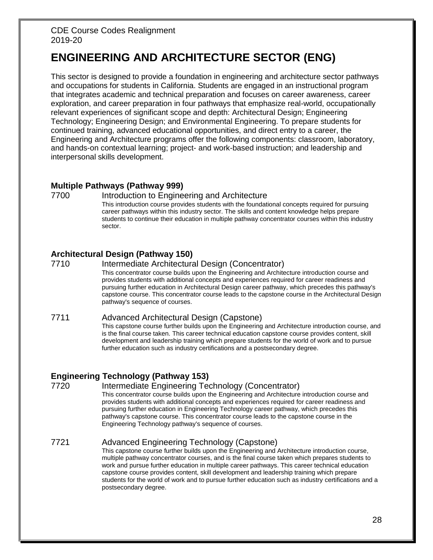# **ENGINEERING AND ARCHITECTURE SECTOR (ENG)**

This sector is designed to provide a foundation in engineering and architecture sector pathways and occupations for students in California. Students are engaged in an instructional program that integrates academic and technical preparation and focuses on career awareness, career exploration, and career preparation in four pathways that emphasize real-world, occupationally relevant experiences of significant scope and depth: Architectural Design; Engineering Technology; Engineering Design; and Environmental Engineering. To prepare students for continued training, advanced educational opportunities, and direct entry to a career, the Engineering and Architecture programs offer the following components: classroom, laboratory, and hands-on contextual learning; project- and work-based instruction; and leadership and interpersonal skills development.

### **Multiple Pathways (Pathway 999)**

#### 7700 Introduction to Engineering and Architecture

This introduction course provides students with the foundational concepts required for pursuing career pathways within this industry sector. The skills and content knowledge helps prepare students to continue their education in multiple pathway concentrator courses within this industry sector.

# **Architectural Design (Pathway 150)**

#### 7710 Intermediate Architectural Design (Concentrator)

This concentrator course builds upon the Engineering and Architecture introduction course and provides students with additional concepts and experiences required for career readiness and pursuing further education in Architectural Design career pathway, which precedes this pathway's capstone course. This concentrator course leads to the capstone course in the Architectural Design pathway's sequence of courses.

#### 7711 Advanced Architectural Design (Capstone)

This capstone course further builds upon the Engineering and Architecture introduction course, and is the final course taken. This career technical education capstone course provides content, skill development and leadership training which prepare students for the world of work and to pursue further education such as industry certifications and a postsecondary degree.

# **Engineering Technology (Pathway 153)**

#### 7720 Intermediate Engineering Technology (Concentrator)

This concentrator course builds upon the Engineering and Architecture introduction course and provides students with additional concepts and experiences required for career readiness and pursuing further education in Engineering Technology career pathway, which precedes this pathway's capstone course. This concentrator course leads to the capstone course in the Engineering Technology pathway's sequence of courses.

# 7721 Advanced Engineering Technology (Capstone)

This capstone course further builds upon the Engineering and Architecture introduction course, multiple pathway concentrator courses, and is the final course taken which prepares students to work and pursue further education in multiple career pathways. This career technical education capstone course provides content, skill development and leadership training which prepare students for the world of work and to pursue further education such as industry certifications and a postsecondary degree.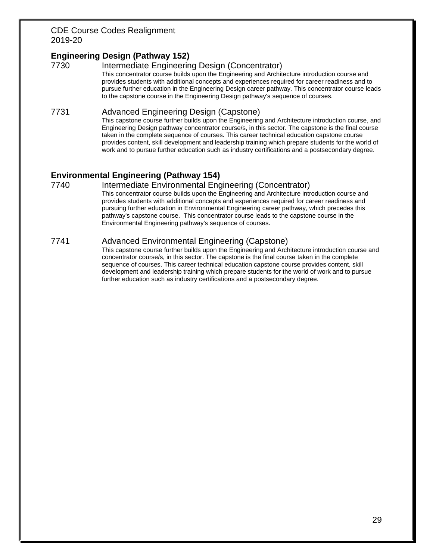# **Engineering Design (Pathway 152)**

7730 Intermediate Engineering Design (Concentrator) This concentrator course builds upon the Engineering and Architecture introduction course and provides students with additional concepts and experiences required for career readiness and to pursue further education in the Engineering Design career pathway. This concentrator course leads to the capstone course in the Engineering Design pathway's sequence of courses.

#### 7731 Advanced Engineering Design (Capstone)

This capstone course further builds upon the Engineering and Architecture introduction course, and Engineering Design pathway concentrator course/s, in this sector. The capstone is the final course taken in the complete sequence of courses. This career technical education capstone course provides content, skill development and leadership training which prepare students for the world of work and to pursue further education such as industry certifications and a postsecondary degree.

# **Environmental Engineering (Pathway 154)**

#### 7740 Intermediate Environmental Engineering (Concentrator)

This concentrator course builds upon the Engineering and Architecture introduction course and provides students with additional concepts and experiences required for career readiness and pursuing further education in Environmental Engineering career pathway, which precedes this pathway's capstone course. This concentrator course leads to the capstone course in the Environmental Engineering pathway's sequence of courses.

### 7741 Advanced Environmental Engineering (Capstone)

This capstone course further builds upon the Engineering and Architecture introduction course and concentrator course/s, in this sector. The capstone is the final course taken in the complete sequence of courses. This career technical education capstone course provides content, skill development and leadership training which prepare students for the world of work and to pursue further education such as industry certifications and a postsecondary degree.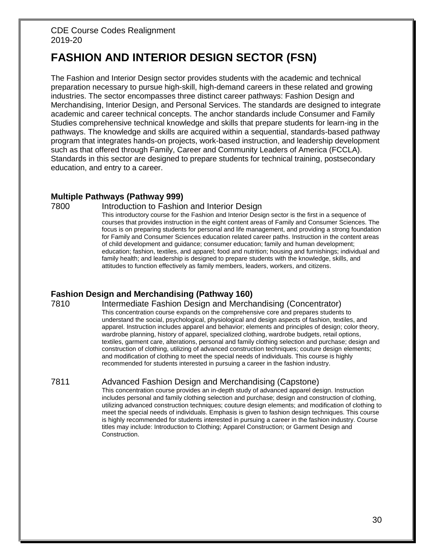# **FASHION AND INTERIOR DESIGN SECTOR (FSN)**

The Fashion and Interior Design sector provides students with the academic and technical preparation necessary to pursue high-skill, high-demand careers in these related and growing industries. The sector encompasses three distinct career pathways: Fashion Design and Merchandising, Interior Design, and Personal Services. The standards are designed to integrate academic and career technical concepts. The anchor standards include Consumer and Family Studies comprehensive technical knowledge and skills that prepare students for learn-ing in the pathways. The knowledge and skills are acquired within a sequential, standards-based pathway program that integrates hands-on projects, work-based instruction, and leadership development such as that offered through Family, Career and Community Leaders of America (FCCLA). Standards in this sector are designed to prepare students for technical training, postsecondary education, and entry to a career.

### **Multiple Pathways (Pathway 999)**

#### 7800 Introduction to Fashion and Interior Design

This introductory course for the Fashion and Interior Design sector is the first in a sequence of courses that provides instruction in the eight content areas of Family and Consumer Sciences. The focus is on preparing students for personal and life management, and providing a strong foundation for Family and Consumer Sciences education related career paths. Instruction in the content areas of child development and guidance; consumer education; family and human development; education; fashion, textiles, and apparel; food and nutrition; housing and furnishings; individual and family health; and leadership is designed to prepare students with the knowledge, skills, and attitudes to function effectively as family members, leaders, workers, and citizens.

# **Fashion Design and Merchandising (Pathway 160)**

# 7810 Intermediate Fashion Design and Merchandising (Concentrator)

This concentration course expands on the comprehensive core and prepares students to understand the social, psychological, physiological and design aspects of fashion, textiles, and apparel. Instruction includes apparel and behavior; elements and principles of design; color theory, wardrobe planning, history of apparel, specialized clothing, wardrobe budgets, retail options, textiles, garment care, alterations, personal and family clothing selection and purchase; design and construction of clothing, utilizing of advanced construction techniques; couture design elements; and modification of clothing to meet the special needs of individuals. This course is highly recommended for students interested in pursuing a career in the fashion industry.

# 7811 Advanced Fashion Design and Merchandising (Capstone)

This concentration course provides an in-depth study of advanced apparel design. Instruction includes personal and family clothing selection and purchase; design and construction of clothing, utilizing advanced construction techniques; couture design elements; and modification of clothing to meet the special needs of individuals. Emphasis is given to fashion design techniques. This course is highly recommended for students interested in pursuing a career in the fashion industry. Course titles may include: Introduction to Clothing; Apparel Construction; or Garment Design and Construction.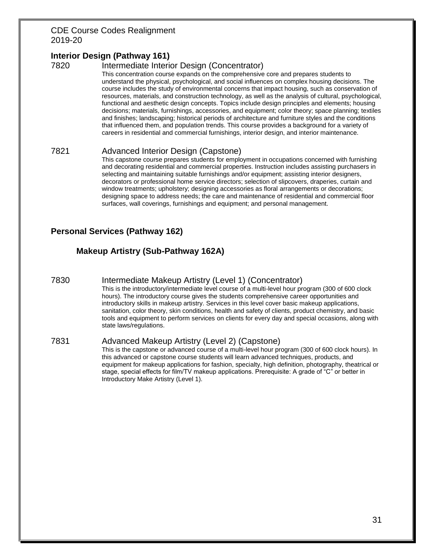# **Interior Design (Pathway 161)**

# 7820 Intermediate Interior Design (Concentrator)

This concentration course expands on the comprehensive core and prepares students to understand the physical, psychological, and social influences on complex housing decisions. The course includes the study of environmental concerns that impact housing, such as conservation of resources, materials, and construction technology, as well as the analysis of cultural, psychological, functional and aesthetic design concepts. Topics include design principles and elements; housing decisions; materials, furnishings, accessories, and equipment; color theory; space planning; textiles and finishes; landscaping; historical periods of architecture and furniture styles and the conditions that influenced them, and population trends. This course provides a background for a variety of careers in residential and commercial furnishings, interior design, and interior maintenance.

### 7821 Advanced Interior Design (Capstone)

This capstone course prepares students for employment in occupations concerned with furnishing and decorating residential and commercial properties. Instruction includes assisting purchasers in selecting and maintaining suitable furnishings and/or equipment; assisting interior designers, decorators or professional home service directors; selection of slipcovers, draperies, curtain and window treatments; upholstery; designing accessories as floral arrangements or decorations; designing space to address needs; the care and maintenance of residential and commercial floor surfaces, wall coverings, furnishings and equipment; and personal management.

# **Personal Services (Pathway 162)**

# **Makeup Artistry (Sub-Pathway 162A)**

7830 Intermediate Makeup Artistry (Level 1) (Concentrator)

This is the introductory/intermediate level course of a multi-level hour program (300 of 600 clock hours). The introductory course gives the students comprehensive career opportunities and introductory skills in makeup artistry. Services in this level cover basic makeup applications, sanitation, color theory, skin conditions, health and safety of clients, product chemistry, and basic tools and equipment to perform services on clients for every day and special occasions, along with state laws/regulations.

#### 7831 Advanced Makeup Artistry (Level 2) (Capstone)

This is the capstone or advanced course of a multi-level hour program (300 of 600 clock hours). In this advanced or capstone course students will learn advanced techniques, products, and equipment for makeup applications for fashion, specialty, high definition, photography, theatrical or stage, special effects for film/TV makeup applications. Prerequisite: A grade of "C" or better in Introductory Make Artistry (Level 1).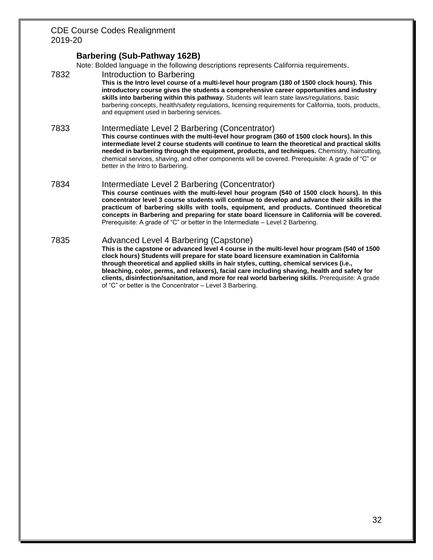### **Barbering (Sub-Pathway 162B)**

Note: Bolded language in the following descriptions represents California requirements.

7832 Introduction to Barbering

**This is the Intro level course of a multi-level hour program (180 of 1500 clock hours). This introductory course gives the students a comprehensive career opportunities and industry skills into barbering within this pathway.** Students will learn state laws/regulations, basic barbering concepts, health/safety regulations, licensing requirements for California, tools, products, and equipment used in barbering services.

7833 Intermediate Level 2 Barbering (Concentrator)

**This course continues with the multi-level hour program (360 of 1500 clock hours). In this intermediate level 2 course students will continue to learn the theoretical and practical skills needed in barbering through the equipment, products, and techniques.** Chemistry, haircutting, chemical services, shaving, and other components will be covered. Prerequisite: A grade of "C" or better in the Intro to Barbering.

7834 Intermediate Level 2 Barbering (Concentrator)

**This course continues with the multi-level hour program (540 of 1500 clock hours). In this concentrator level 3 course students will continue to develop and advance their skills in the practicum of barbering skills with tools, equipment, and products. Continued theoretical concepts in Barbering and preparing for state board licensure in California will be covered.** Prerequisite: A grade of "C" or better in the Intermediate – Level 2 Barbering.

7835 Advanced Level 4 Barbering (Capstone)

**This is the capstone or advanced level 4 course in the multi-level hour program (540 of 1500 clock hours) Students will prepare for state board licensure examination in California through theoretical and applied skills in hair styles, cutting, chemical services (i.e., bleaching, color, perms, and relaxers), facial care including shaving, health and safety for clients, disinfection/sanitation, and more for real world barbering skills.** Prerequisite: A grade of "C" or better is the Concentrator – Level 3 Barbering.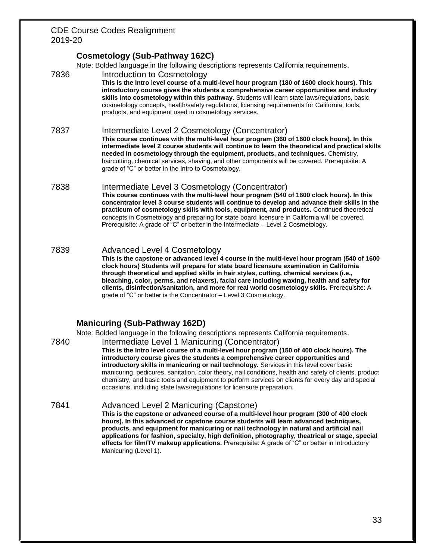# **Cosmetology (Sub-Pathway 162C)**

Note: Bolded language in the following descriptions represents California requirements.

7836 Introduction to Cosmetology

**This is the Intro level course of a multi-level hour program (180 of 1600 clock hours). This introductory course gives the students a comprehensive career opportunities and industry skills into cosmetology within this pathway**. Students will learn state laws/regulations, basic cosmetology concepts, health/safety regulations, licensing requirements for California, tools, products, and equipment used in cosmetology services.

#### 7837 Intermediate Level 2 Cosmetology (Concentrator)

**This course continues with the multi-level hour program (360 of 1600 clock hours). In this intermediate level 2 course students will continue to learn the theoretical and practical skills needed in cosmetology through the equipment, products, and techniques.** Chemistry, haircutting, chemical services, shaving, and other components will be covered. Prerequisite: A grade of "C" or better in the Intro to Cosmetology.

- 7838 Intermediate Level 3 Cosmetology (Concentrator) **This course continues with the multi-level hour program (540 of 1600 clock hours). In this concentrator level 3 course students will continue to develop and advance their skills in the practicum of cosmetology skills with tools, equipment, and products.** Continued theoretical concepts in Cosmetology and preparing for state board licensure in California will be covered. Prerequisite: A grade of "C" or better in the Intermediate – Level 2 Cosmetology.
- 7839 Advanced Level 4 Cosmetology **This is the capstone or advanced level 4 course in the multi-level hour program (540 of 1600 clock hours) Students will prepare for state board licensure examination in California through theoretical and applied skills in hair styles, cutting, chemical services (i.e., bleaching, color, perms, and relaxers), facial care including waxing, health and safety for clients, disinfection/sanitation, and more for real world cosmetology skills.** Prerequisite: A grade of "C" or better is the Concentrator – Level 3 Cosmetology.

# **Manicuring (Sub-Pathway 162D)**

Note: Bolded language in the following descriptions represents California requirements.

- 7840 Intermediate Level 1 Manicuring (Concentrator) **This is the Intro level course of a multi-level hour program (150 of 400 clock hours). The introductory course gives the students a comprehensive career opportunities and introductory skills in manicuring or nail technology.** Services in this level cover basic manicuring, pedicures, sanitation, color theory, nail conditions, health and safety of clients, product chemistry, and basic tools and equipment to perform services on clients for every day and special occasions, including state laws/regulations for licensure preparation.
- 7841 Advanced Level 2 Manicuring (Capstone) **This is the capstone or advanced course of a multi-level hour program (300 of 400 clock hours). In this advanced or capstone course students will learn advanced techniques, products, and equipment for manicuring or nail technology in natural and artificial nail applications for fashion, specialty, high definition, photography, theatrical or stage, special effects for film/TV makeup applications.** Prerequisite: A grade of "C" or better in Introductory Manicuring (Level 1).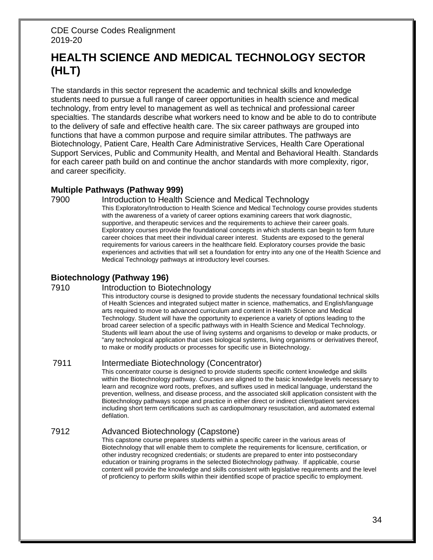# **HEALTH SCIENCE AND MEDICAL TECHNOLOGY SECTOR (HLT)**

The standards in this sector represent the academic and technical skills and knowledge students need to pursue a full range of career opportunities in health science and medical technology, from entry level to management as well as technical and professional career specialties. The standards describe what workers need to know and be able to do to contribute to the delivery of safe and effective health care. The six career pathways are grouped into functions that have a common purpose and require similar attributes. The pathways are Biotechnology, Patient Care, Health Care Administrative Services, Health Care Operational Support Services, Public and Community Health, and Mental and Behavioral Health. Standards for each career path build on and continue the anchor standards with more complexity, rigor, and career specificity.

### **Multiple Pathways (Pathway 999)**

#### 7900 Introduction to Health Science and Medical Technology

This Exploratory/Introduction to Health Science and Medical Technology course provides students with the awareness of a variety of career options examining careers that work diagnostic, supportive, and therapeutic services and the requirements to achieve their career goals. Exploratory courses provide the foundational concepts in which students can begin to form future career choices that meet their individual career interest. Students are exposed to the general requirements for various careers in the healthcare field. Exploratory courses provide the basic experiences and activities that will set a foundation for entry into any one of the Health Science and Medical Technology pathways at introductory level courses.

# **Biotechnology (Pathway 196)**

#### 7910 Introduction to Biotechnology

This introductory course is designed to provide students the necessary foundational technical skills of Health Sciences and integrated subject matter in science, mathematics, and English/language arts required to move to advanced curriculum and content in Health Science and Medical Technology. Student will have the opportunity to experience a variety of options leading to the broad career selection of a specific pathways with in Health Science and Medical Technology. Students will learn about the use of living systems and organisms to develop or make products, or "any technological application that uses biological systems, living organisms or derivatives thereof, to make or modify products or processes for specific use in Biotechnology.

### 7911 Intermediate Biotechnology (Concentrator)

This concentrator course is designed to provide students specific content knowledge and skills within the Biotechnology pathway. Courses are aligned to the basic knowledge levels necessary to learn and recognize word roots, prefixes, and suffixes used in medical language, understand the prevention, wellness, and disease process, and the associated skill application consistent with the Biotechnology pathways scope and practice in either direct or indirect client/patient services including short term certifications such as cardiopulmonary resuscitation, and automated external defilation.

# 7912 Advanced Biotechnology (Capstone)

This capstone course prepares students within a specific career in the various areas of Biotechnology that will enable them to complete the requirements for licensure, certification, or other industry recognized credentials; or students are prepared to enter into postsecondary education or training programs in the selected Biotechnology pathway. If applicable, course content will provide the knowledge and skills consistent with legislative requirements and the level of proficiency to perform skills within their identified scope of practice specific to employment.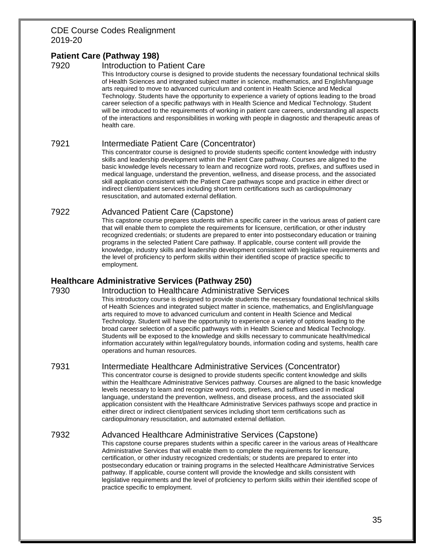# **Patient Care (Pathway 198)**

#### 7920 Introduction to Patient Care

This Introductory course is designed to provide students the necessary foundational technical skills of Health Sciences and integrated subject matter in science, mathematics, and English/language arts required to move to advanced curriculum and content in Health Science and Medical Technology. Students have the opportunity to experience a variety of options leading to the broad career selection of a specific pathways with in Health Science and Medical Technology. Student will be introduced to the requirements of working in patient care careers, understanding all aspects of the interactions and responsibilities in working with people in diagnostic and therapeutic areas of health care.

### 7921 Intermediate Patient Care (Concentrator)

This concentrator course is designed to provide students specific content knowledge with industry skills and leadership development within the Patient Care pathway. Courses are aligned to the basic knowledge levels necessary to learn and recognize word roots, prefixes, and suffixes used in medical language, understand the prevention, wellness, and disease process, and the associated skill application consistent with the Patient Care pathways scope and practice in either direct or indirect client/patient services including short term certifications such as cardiopulmonary resuscitation, and automated external defilation.

# 7922 Advanced Patient Care (Capstone)

This capstone course prepares students within a specific career in the various areas of patient care that will enable them to complete the requirements for licensure, certification, or other industry recognized credentials; or students are prepared to enter into postsecondary education or training programs in the selected Patient Care pathway. If applicable, course content will provide the knowledge, industry skills and leadership development consistent with legislative requirements and the level of proficiency to perform skills within their identified scope of practice specific to employment.

# **Healthcare Administrative Services (Pathway 250)**

#### 7930 Introduction to Healthcare Administrative Services

This introductory course is designed to provide students the necessary foundational technical skills of Health Sciences and integrated subject matter in science, mathematics, and English/language arts required to move to advanced curriculum and content in Health Science and Medical Technology. Student will have the opportunity to experience a variety of options leading to the broad career selection of a specific pathways with in Health Science and Medical Technology. Students will be exposed to the knowledge and skills necessary to communicate health/medical information accurately within legal/regulatory bounds, information coding and systems, health care operations and human resources.

#### 7931 Intermediate Healthcare Administrative Services (Concentrator)

This concentrator course is designed to provide students specific content knowledge and skills within the Healthcare Administrative Services pathway. Courses are aligned to the basic knowledge levels necessary to learn and recognize word roots, prefixes, and suffixes used in medical language, understand the prevention, wellness, and disease process, and the associated skill application consistent with the Healthcare Administrative Services pathways scope and practice in either direct or indirect client/patient services including short term certifications such as cardiopulmonary resuscitation, and automated external defilation.

# 7932 Advanced Healthcare Administrative Services (Capstone)

This capstone course prepares students within a specific career in the various areas of Healthcare Administrative Services that will enable them to complete the requirements for licensure, certification, or other industry recognized credentials; or students are prepared to enter into postsecondary education or training programs in the selected Healthcare Administrative Services pathway. If applicable, course content will provide the knowledge and skills consistent with legislative requirements and the level of proficiency to perform skills within their identified scope of practice specific to employment.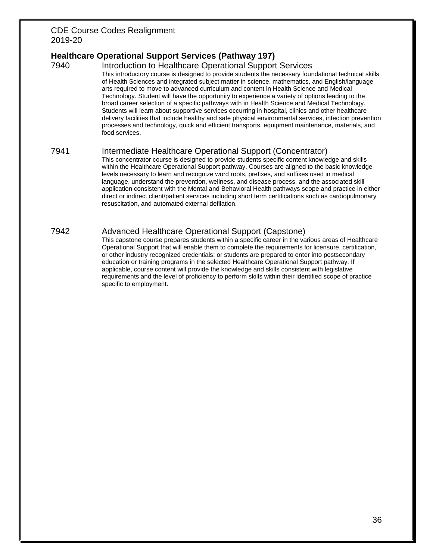# **Healthcare Operational Support Services (Pathway 197)**

7940 Introduction to Healthcare Operational Support Services This introductory course is designed to provide students the necessary foundational technical skills of Health Sciences and integrated subject matter in science, mathematics, and English/language arts required to move to advanced curriculum and content in Health Science and Medical Technology. Student will have the opportunity to experience a variety of options leading to the broad career selection of a specific pathways with in Health Science and Medical Technology. Students will learn about supportive services occurring in hospital, clinics and other healthcare delivery facilities that include healthy and safe physical environmental services, infection prevention processes and technology, quick and efficient transports, equipment maintenance, materials, and food services.

#### 7941 Intermediate Healthcare Operational Support (Concentrator)

This concentrator course is designed to provide students specific content knowledge and skills within the Healthcare Operational Support pathway. Courses are aligned to the basic knowledge levels necessary to learn and recognize word roots, prefixes, and suffixes used in medical language, understand the prevention, wellness, and disease process, and the associated skill application consistent with the Mental and Behavioral Health pathways scope and practice in either direct or indirect client/patient services including short term certifications such as cardiopulmonary resuscitation, and automated external defilation.

### 7942 Advanced Healthcare Operational Support (Capstone)

This capstone course prepares students within a specific career in the various areas of Healthcare Operational Support that will enable them to complete the requirements for licensure, certification, or other industry recognized credentials; or students are prepared to enter into postsecondary education or training programs in the selected Healthcare Operational Support pathway. If applicable, course content will provide the knowledge and skills consistent with legislative requirements and the level of proficiency to perform skills within their identified scope of practice specific to employment.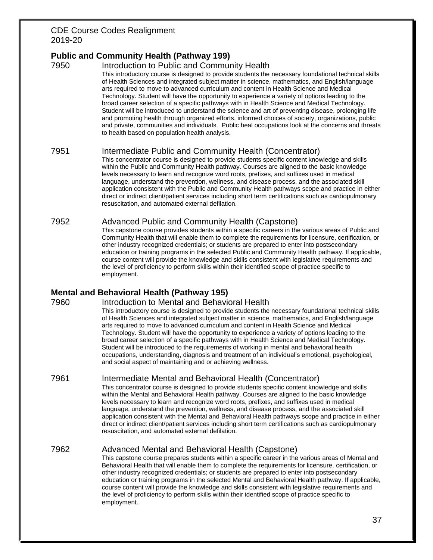# **Public and Community Health (Pathway 199)**

#### 7950 Introduction to Public and Community Health

This introductory course is designed to provide students the necessary foundational technical skills of Health Sciences and integrated subject matter in science, mathematics, and English/language arts required to move to advanced curriculum and content in Health Science and Medical Technology. Student will have the opportunity to experience a variety of options leading to the broad career selection of a specific pathways with in Health Science and Medical Technology. Student will be introduced to understand the science and art of preventing disease, prolonging life and promoting health through organized efforts, informed choices of society, organizations, public and private, communities and individuals. Public heal occupations look at the concerns and threats to health based on population health analysis.

#### 7951 Intermediate Public and Community Health (Concentrator)

This concentrator course is designed to provide students specific content knowledge and skills within the Public and Community Health pathway. Courses are aligned to the basic knowledge levels necessary to learn and recognize word roots, prefixes, and suffixes used in medical language, understand the prevention, wellness, and disease process, and the associated skill application consistent with the Public and Community Health pathways scope and practice in either direct or indirect client/patient services including short term certifications such as cardiopulmonary resuscitation, and automated external defilation.

#### 7952 Advanced Public and Community Health (Capstone)

This capstone course provides students within a specific careers in the various areas of Public and Community Health that will enable them to complete the requirements for licensure, certification, or other industry recognized credentials; or students are prepared to enter into postsecondary education or training programs in the selected Public and Community Health pathway. If applicable, course content will provide the knowledge and skills consistent with legislative requirements and the level of proficiency to perform skills within their identified scope of practice specific to employment.

# **Mental and Behavioral Health (Pathway 195)**

#### 7960 Introduction to Mental and Behavioral Health

This introductory course is designed to provide students the necessary foundational technical skills of Health Sciences and integrated subject matter in science, mathematics, and English/language arts required to move to advanced curriculum and content in Health Science and Medical Technology. Student will have the opportunity to experience a variety of options leading to the broad career selection of a specific pathways with in Health Science and Medical Technology. Student will be introduced to the requirements of working in mental and behavioral health occupations, understanding, diagnosis and treatment of an individual's emotional, psychological, and social aspect of maintaining and or achieving wellness.

# 7961 Intermediate Mental and Behavioral Health (Concentrator)

This concentrator course is designed to provide students specific content knowledge and skills within the Mental and Behavioral Health pathway. Courses are aligned to the basic knowledge levels necessary to learn and recognize word roots, prefixes, and suffixes used in medical language, understand the prevention, wellness, and disease process, and the associated skill application consistent with the Mental and Behavioral Health pathways scope and practice in either direct or indirect client/patient services including short term certifications such as cardiopulmonary resuscitation, and automated external defilation.

# 7962 Advanced Mental and Behavioral Health (Capstone)

This capstone course prepares students within a specific career in the various areas of Mental and Behavioral Health that will enable them to complete the requirements for licensure, certification, or other industry recognized credentials; or students are prepared to enter into postsecondary education or training programs in the selected Mental and Behavioral Health pathway. If applicable, course content will provide the knowledge and skills consistent with legislative requirements and the level of proficiency to perform skills within their identified scope of practice specific to employment.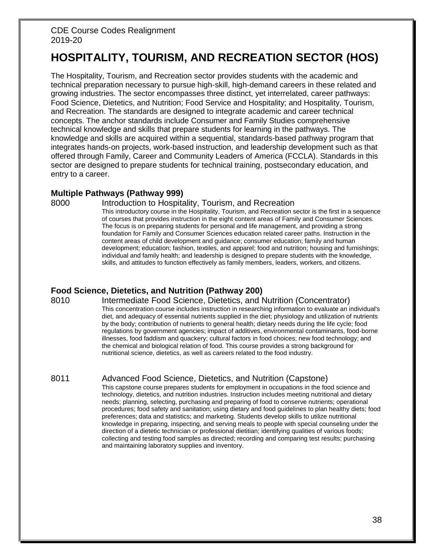# **HOSPITALITY, TOURISM, AND RECREATION SECTOR (HOS)**

The Hospitality, Tourism, and Recreation sector provides students with the academic and technical preparation necessary to pursue high-skill, high-demand careers in these related and growing industries. The sector encompasses three distinct, yet interrelated, career pathways: Food Science, Dietetics, and Nutrition; Food Service and Hospitality; and Hospitality, Tourism, and Recreation. The standards are designed to integrate academic and career technical concepts. The anchor standards include Consumer and Family Studies comprehensive technical knowledge and skills that prepare students for learning in the pathways. The knowledge and skills are acquired within a sequential, standards-based pathway program that integrates hands-on projects, work-based instruction, and leadership development such as that offered through Family, Career and Community Leaders of America (FCCLA). Standards in this sector are designed to prepare students for technical training, postsecondary education, and entry to a career.

#### **Multiple Pathways (Pathway 999)**

### 8000 Introduction to Hospitality, Tourism, and Recreation

This introductory course in the Hospitality, Tourism, and Recreation sector is the first in a sequence of courses that provides instruction in the eight content areas of Family and Consumer Sciences. The focus is on preparing students for personal and life management, and providing a strong foundation for Family and Consumer Sciences education related career paths. Instruction in the content areas of child development and guidance; consumer education; family and human development; education; fashion, textiles, and apparel; food and nutrition; housing and furnishings; individual and family health; and leadership is designed to prepare students with the knowledge, skills, and attitudes to function effectively as family members, leaders, workers, and citizens.

# **Food Science, Dietetics, and Nutrition (Pathway 200)**

8010 Intermediate Food Science, Dietetics, and Nutrition (Concentrator) This concentration course includes instruction in researching information to evaluate an individual's diet, and adequacy of essential nutrients supplied in the diet; physiology and utilization of nutrients by the body; contribution of nutrients to general health; dietary needs during the life cycle; food regulations by government agencies; impact of additives, environmental contaminants, food-borne illnesses, food faddism and quackery; cultural factors in food choices; new food technology; and the chemical and biological relation of food. This course provides a strong background for nutritional science, dietetics, as well as careers related to the food industry.

# 8011 Advanced Food Science, Dietetics, and Nutrition (Capstone)

This capstone course prepares students for employment in occupations in the food science and technology, dietetics, and nutrition industries. Instruction includes meeting nutritional and dietary needs; planning, selecting, purchasing and preparing of food to conserve nutrients; operational procedures; food safety and sanitation; using dietary and food guidelines to plan healthy diets; food preferences; data and statistics; and marketing. Students develop skills to utilize nutritional knowledge in preparing, inspecting, and serving meals to people with special counseling under the direction of a dietetic technician or professional dietitian; identifying qualities of various foods; collecting and testing food samples as directed; recording and comparing test results; purchasing and maintaining laboratory supplies and inventory.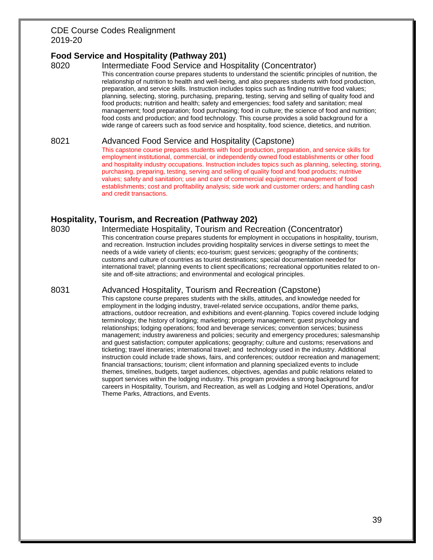# **Food Service and Hospitality (Pathway 201)**

### 8020 Intermediate Food Service and Hospitality (Concentrator)

This concentration course prepares students to understand the scientific principles of nutrition, the relationship of nutrition to health and well-being, and also prepares students with food production, preparation, and service skills. Instruction includes topics such as finding nutritive food values; planning, selecting, storing, purchasing, preparing, testing, serving and selling of quality food and food products; nutrition and health; safety and emergencies; food safety and sanitation; meal management; food preparation; food purchasing; food in culture; the science of food and nutrition; food costs and production; and food technology. This course provides a solid background for a wide range of careers such as food service and hospitality, food science, dietetics, and nutrition.

#### 8021 Advanced Food Service and Hospitality (Capstone)

This capstone course prepares students with food production, preparation, and service skills for employment institutional, commercial, or independently owned food establishments or other food and hospitality industry occupations. Instruction includes topics such as planning, selecting, storing, purchasing, preparing, testing, serving and selling of quality food and food products; nutritive values; safety and sanitation; use and care of commercial equipment; management of food establishments; cost and profitability analysis; side work and customer orders; and handling cash and credit transactions.

# **Hospitality, Tourism, and Recreation (Pathway 202)**

8030 Intermediate Hospitality, Tourism and Recreation (Concentrator) This concentration course prepares students for employment in occupations in hospitality, tourism, and recreation. Instruction includes providing hospitality services in diverse settings to meet the needs of a wide variety of clients; eco-tourism; guest services; geography of the continents; customs and culture of countries as tourist destinations; special documentation needed for international travel; planning events to client specifications; recreational opportunities related to onsite and off-site attractions; and environmental and ecological principles.

#### 8031 Advanced Hospitality, Tourism and Recreation (Capstone)

This capstone course prepares students with the skills, attitudes, and knowledge needed for employment in the lodging industry, travel-related service occupations, and/or theme parks, attractions, outdoor recreation, and exhibitions and event-planning. Topics covered include lodging terminology; the history of lodging; marketing; property management; guest psychology and relationships; lodging operations; food and beverage services; convention services; business management; industry awareness and policies; security and emergency procedures; salesmanship and guest satisfaction; computer applications; geography; culture and customs; reservations and ticketing; travel itineraries; international travel; and technology used in the industry. Additional instruction could include trade shows, fairs, and conferences; outdoor recreation and management; financial transactions; tourism; client information and planning specialized events to include themes, timelines, budgets, target audiences, objectives, agendas and public relations related to support services within the lodging industry. This program provides a strong background for careers in Hospitality, Tourism, and Recreation, as well as Lodging and Hotel Operations, and/or Theme Parks, Attractions, and Events.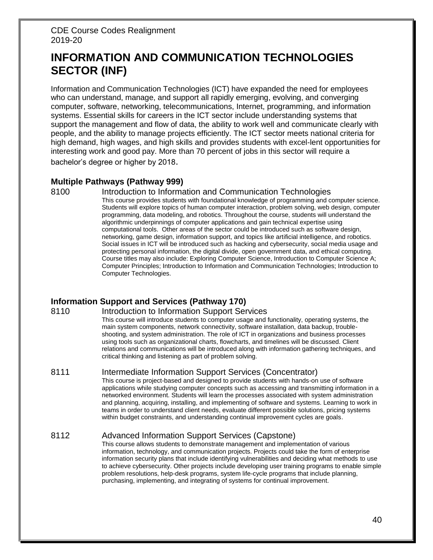# **INFORMATION AND COMMUNICATION TECHNOLOGIES SECTOR (INF)**

Information and Communication Technologies (ICT) have expanded the need for employees who can understand, manage, and support all rapidly emerging, evolving, and converging computer, software, networking, telecommunications, Internet, programming, and information systems. Essential skills for careers in the ICT sector include understanding systems that support the management and flow of data, the ability to work well and communicate clearly with people, and the ability to manage projects efficiently. The ICT sector meets national criteria for high demand, high wages, and high skills and provides students with excel-lent opportunities for interesting work and good pay. More than 70 percent of jobs in this sector will require a bachelor's degree or higher by 2018.

### **Multiple Pathways (Pathway 999)**

#### 8100 Introduction to Information and Communication Technologies

This course provides students with foundational knowledge of programming and computer science. Students will explore topics of human computer interaction, problem solving, web design, computer programming, data modeling, and robotics. Throughout the course, students will understand the algorithmic underpinnings of computer applications and gain technical expertise using computational tools. Other areas of the sector could be introduced such as software design, networking, game design, information support, and topics like artificial intelligence, and robotics. Social issues in ICT will be introduced such as hacking and cybersecurity, social media usage and protecting personal information, the digital divide, open government data, and ethical computing. Course titles may also include: Exploring Computer Science, Introduction to Computer Science A; Computer Principles; Introduction to Information and Communication Technologies; Introduction to Computer Technologies.

# **Information Support and Services (Pathway 170)**

#### 8110 **Introduction to Information Support Services**

This course will introduce students to computer usage and functionality, operating systems, the main system components, network connectivity, software installation, data backup, troubleshooting, and system administration. The role of ICT in organizations and business processes using tools such as organizational charts, flowcharts, and timelines will be discussed. Client relations and communications will be introduced along with information gathering techniques, and critical thinking and listening as part of problem solving.

#### 8111 Intermediate Information Support Services (Concentrator)

This course is project-based and designed to provide students with hands-on use of software applications while studying computer concepts such as accessing and transmitting information in a networked environment. Students will learn the processes associated with system administration and planning, acquiring, installing, and implementing of software and systems. Learning to work in teams in order to understand client needs, evaluate different possible solutions, pricing systems within budget constraints, and understanding continual improvement cycles are goals.

# 8112 Advanced Information Support Services (Capstone)

This course allows students to demonstrate management and implementation of various information, technology, and communication projects. Projects could take the form of enterprise information security plans that include identifying vulnerabilities and deciding what methods to use to achieve cybersecurity. Other projects include developing user training programs to enable simple problem resolutions, help-desk programs, system life-cycle programs that include planning, purchasing, implementing, and integrating of systems for continual improvement.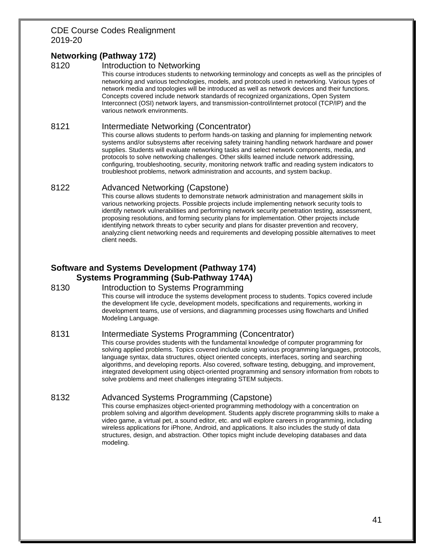# **Networking (Pathway 172)**

#### 8120 Introduction to Networking

This course introduces students to networking terminology and concepts as well as the principles of networking and various technologies, models, and protocols used in networking. Various types of network media and topologies will be introduced as well as network devices and their functions. Concepts covered include network standards of recognized organizations, Open System Interconnect (OSI) network layers, and transmission-control/internet protocol (TCP/IP) and the various network environments.

#### 8121 Intermediate Networking (Concentrator)

This course allows students to perform hands-on tasking and planning for implementing network systems and/or subsystems after receiving safety training handling network hardware and power supplies. Students will evaluate networking tasks and select network components, media, and protocols to solve networking challenges. Other skills learned include network addressing, configuring, troubleshooting, security, monitoring network traffic and reading system indicators to troubleshoot problems, network administration and accounts, and system backup.

### 8122 Advanced Networking (Capstone)

This course allows students to demonstrate network administration and management skills in various networking projects. Possible projects include implementing network security tools to identify network vulnerabilities and performing network security penetration testing, assessment, proposing resolutions, and forming security plans for implementation. Other projects include identifying network threats to cyber security and plans for disaster prevention and recovery, analyzing client networking needs and requirements and developing possible alternatives to meet client needs.

# **Software and Systems Development (Pathway 174) Systems Programming (Sub-Pathway 174A)**

#### 8130 Introduction to Systems Programming

This course will introduce the systems development process to students. Topics covered include the development life cycle, development models, specifications and requirements, working in development teams, use of versions, and diagramming processes using flowcharts and Unified Modeling Language.

# 8131 Intermediate Systems Programming (Concentrator)

This course provides students with the fundamental knowledge of computer programming for solving applied problems. Topics covered include using various programming languages, protocols, language syntax, data structures, object oriented concepts, interfaces, sorting and searching algorithms, and developing reports. Also covered, software testing, debugging, and improvement, integrated development using object-oriented programming and sensory information from robots to solve problems and meet challenges integrating STEM subjects.

# 8132 Advanced Systems Programming (Capstone)

This course emphasizes object-oriented programming methodology with a concentration on problem solving and algorithm development. Students apply discrete programming skills to make a video game, a virtual pet, a sound editor, etc. and will explore careers in programming, including wireless applications for iPhone, Android, and applications. It also includes the study of data structures, design, and abstraction. Other topics might include developing databases and data modeling.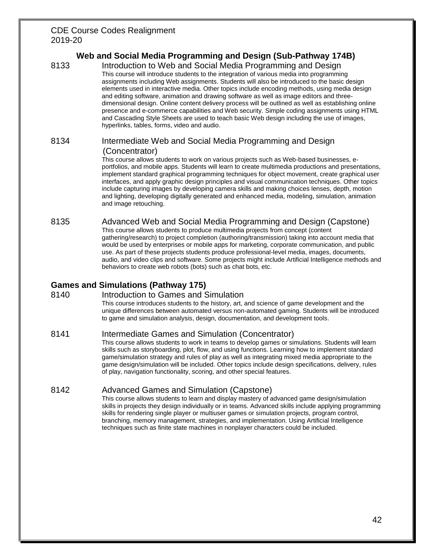# **Web and Social Media Programming and Design (Sub-Pathway 174B)**

8133 Introduction to Web and Social Media Programming and Design This course will introduce students to the integration of various media into programming assignments including Web assignments. Students will also be introduced to the basic design elements used in interactive media. Other topics include encoding methods, using media design and editing software, animation and drawing software as well as image editors and threedimensional design. Online content delivery process will be outlined as well as establishing online presence and e-commerce capabilities and Web security. Simple coding assignments using HTML and Cascading Style Sheets are used to teach basic Web design including the use of images, hyperlinks, tables, forms, video and audio.

### 8134 Intermediate Web and Social Media Programming and Design (Concentrator)

This course allows students to work on various projects such as Web-based businesses, eportfolios, and mobile apps. Students will learn to create multimedia productions and presentations, implement standard graphical programming techniques for object movement, create graphical user interfaces, and apply graphic design principles and visual communication techniques. Other topics include capturing images by developing camera skills and making choices lenses, depth, motion and lighting, developing digitally generated and enhanced media, modeling, simulation, animation and image retouching.

#### 8135 Advanced Web and Social Media Programming and Design (Capstone)

This course allows students to produce multimedia projects from concept (content gathering/research) to project completion (authoring/transmission) taking into account media that would be used by enterprises or mobile apps for marketing, corporate communication, and public use. As part of these projects students produce professional-level media, images, documents, audio, and video clips and software. Some projects might include Artificial Intelligence methods and behaviors to create web robots (bots) such as chat bots, etc.

# **Games and Simulations (Pathway 175)**

#### 8140 Introduction to Games and Simulation

This course introduces students to the history, art, and science of game development and the unique differences between automated versus non-automated gaming. Students will be introduced to game and simulation analysis, design, documentation, and development tools.

# 8141 Intermediate Games and Simulation (Concentrator)

This course allows students to work in teams to develop games or simulations. Students will learn skills such as storyboarding, plot, flow, and using functions. Learning how to implement standard game/simulation strategy and rules of play as well as integrating mixed media appropriate to the game design/simulation will be included. Other topics include design specifications, delivery, rules of play, navigation functionality, scoring, and other special features.

# 8142 Advanced Games and Simulation (Capstone)

This course allows students to learn and display mastery of advanced game design/simulation skills in projects they design individually or in teams. Advanced skills include applying programming skills for rendering single player or multiuser games or simulation projects, program control, branching, memory management, strategies, and implementation. Using Artificial Intelligence techniques such as finite state machines in nonplayer characters could be included.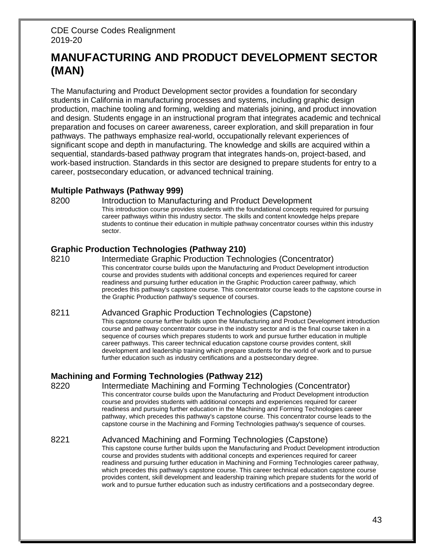# **MANUFACTURING AND PRODUCT DEVELOPMENT SECTOR (MAN)**

The Manufacturing and Product Development sector provides a foundation for secondary students in California in manufacturing processes and systems, including graphic design production, machine tooling and forming, welding and materials joining, and product innovation and design. Students engage in an instructional program that integrates academic and technical preparation and focuses on career awareness, career exploration, and skill preparation in four pathways. The pathways emphasize real-world, occupationally relevant experiences of significant scope and depth in manufacturing. The knowledge and skills are acquired within a sequential, standards-based pathway program that integrates hands-on, project-based, and work-based instruction. Standards in this sector are designed to prepare students for entry to a career, postsecondary education, or advanced technical training.

# **Multiple Pathways (Pathway 999)**

8200 Introduction to Manufacturing and Product Development This introduction course provides students with the foundational concepts required for pursuing career pathways within this industry sector. The skills and content knowledge helps prepare students to continue their education in multiple pathway concentrator courses within this industry sector.

# **Graphic Production Technologies (Pathway 210)**

8210 Intermediate Graphic Production Technologies (Concentrator) This concentrator course builds upon the Manufacturing and Product Development introduction course and provides students with additional concepts and experiences required for career readiness and pursuing further education in the Graphic Production career pathway, which precedes this pathway's capstone course. This concentrator course leads to the capstone course in the Graphic Production pathway's sequence of courses.

# 8211 Advanced Graphic Production Technologies (Capstone)

This capstone course further builds upon the Manufacturing and Product Development introduction course and pathway concentrator course in the industry sector and is the final course taken in a sequence of courses which prepares students to work and pursue further education in multiple career pathways. This career technical education capstone course provides content, skill development and leadership training which prepare students for the world of work and to pursue further education such as industry certifications and a postsecondary degree.

# **Machining and Forming Technologies (Pathway 212)**

8220 Intermediate Machining and Forming Technologies (Concentrator) This concentrator course builds upon the Manufacturing and Product Development introduction course and provides students with additional concepts and experiences required for career readiness and pursuing further education in the Machining and Forming Technologies career pathway, which precedes this pathway's capstone course. This concentrator course leads to the capstone course in the Machining and Forming Technologies pathway's sequence of courses.

#### 8221 Advanced Machining and Forming Technologies (Capstone) This capstone course further builds upon the Manufacturing and Product Development introduction course and provides students with additional concepts and experiences required for career readiness and pursuing further education in Machining and Forming Technologies career pathway, which precedes this pathway's capstone course. This career technical education capstone course provides content, skill development and leadership training which prepare students for the world of work and to pursue further education such as industry certifications and a postsecondary degree.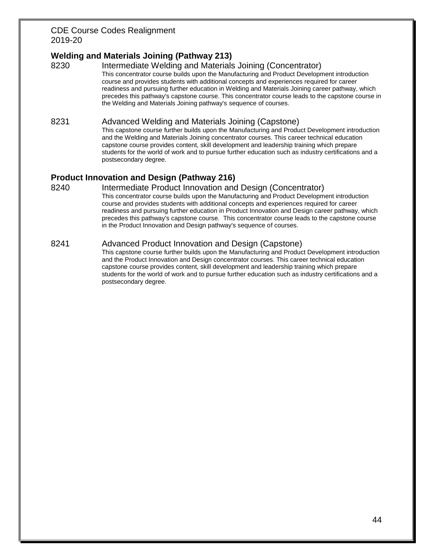# **Welding and Materials Joining (Pathway 213)**

8230 Intermediate Welding and Materials Joining (Concentrator) This concentrator course builds upon the Manufacturing and Product Development introduction course and provides students with additional concepts and experiences required for career readiness and pursuing further education in Welding and Materials Joining career pathway, which precedes this pathway's capstone course. This concentrator course leads to the capstone course in the Welding and Materials Joining pathway's sequence of courses.

### 8231 Advanced Welding and Materials Joining (Capstone)

This capstone course further builds upon the Manufacturing and Product Development introduction and the Welding and Materials Joining concentrator courses. This career technical education capstone course provides content, skill development and leadership training which prepare students for the world of work and to pursue further education such as industry certifications and a postsecondary degree.

# **Product Innovation and Design (Pathway 216)**

8240 Intermediate Product Innovation and Design (Concentrator) This concentrator course builds upon the Manufacturing and Product Development introduction course and provides students with additional concepts and experiences required for career readiness and pursuing further education in Product Innovation and Design career pathway, which precedes this pathway's capstone course. This concentrator course leads to the capstone course in the Product Innovation and Design pathway's sequence of courses.

### 8241 Advanced Product Innovation and Design (Capstone)

This capstone course further builds upon the Manufacturing and Product Development introduction and the Product Innovation and Design concentrator courses. This career technical education capstone course provides content, skill development and leadership training which prepare students for the world of work and to pursue further education such as industry certifications and a postsecondary degree.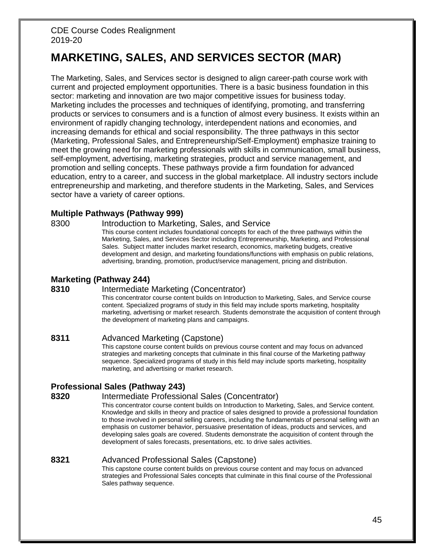# **MARKETING, SALES, AND SERVICES SECTOR (MAR)**

The Marketing, Sales, and Services sector is designed to align career-path course work with current and projected employment opportunities. There is a basic business foundation in this sector: marketing and innovation are two major competitive issues for business today. Marketing includes the processes and techniques of identifying, promoting, and transferring products or services to consumers and is a function of almost every business. It exists within an environment of rapidly changing technology, interdependent nations and economies, and increasing demands for ethical and social responsibility. The three pathways in this sector (Marketing, Professional Sales, and Entrepreneurship/Self-Employment) emphasize training to meet the growing need for marketing professionals with skills in communication, small business, self-employment, advertising, marketing strategies, product and service management, and promotion and selling concepts. These pathways provide a firm foundation for advanced education, entry to a career, and success in the global marketplace. All industry sectors include entrepreneurship and marketing, and therefore students in the Marketing, Sales, and Services sector have a variety of career options.

#### **Multiple Pathways (Pathway 999)**

8300 Introduction to Marketing, Sales, and Service

This course content includes foundational concepts for each of the three pathways within the Marketing, Sales, and Services Sector including Entrepreneurship, Marketing, and Professional Sales. Subject matter includes market research, economics, marketing budgets, creative development and design, and marketing foundations/functions with emphasis on public relations, advertising, branding, promotion, product/service management, pricing and distribution.

# **Marketing (Pathway 244)**

#### **8310** Intermediate Marketing (Concentrator)

This concentrator course content builds on Introduction to Marketing, Sales, and Service course content. Specialized programs of study in this field may include sports marketing, hospitality marketing, advertising or market research. Students demonstrate the acquisition of content through the development of marketing plans and campaigns.

#### **8311** Advanced Marketing (Capstone)

This capstone course content builds on previous course content and may focus on advanced strategies and marketing concepts that culminate in this final course of the Marketing pathway sequence. Specialized programs of study in this field may include sports marketing, hospitality marketing, and advertising or market research.

# **Professional Sales (Pathway 243)**

#### **8320** Intermediate Professional Sales (Concentrator)

This concentrator course content builds on Introduction to Marketing, Sales, and Service content. Knowledge and skills in theory and practice of sales designed to provide a professional foundation to those involved in personal selling careers, including the fundamentals of personal selling with an emphasis on customer behavior, persuasive presentation of ideas, products and services, and developing sales goals are covered. Students demonstrate the acquisition of content through the development of sales forecasts, presentations, etc. to drive sales activities.

#### **8321** Advanced Professional Sales (Capstone)

This capstone course content builds on previous course content and may focus on advanced strategies and Professional Sales concepts that culminate in this final course of the Professional Sales pathway sequence.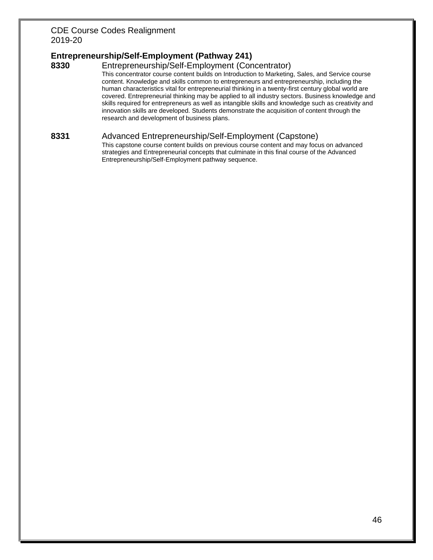# **Entrepreneurship/Self-Employment (Pathway 241)**

#### **8330** Entrepreneurship/Self-Employment (Concentrator)

This concentrator course content builds on Introduction to Marketing, Sales, and Service course content. Knowledge and skills common to entrepreneurs and entrepreneurship, including the human characteristics vital for entrepreneurial thinking in a twenty-first century global world are covered. Entrepreneurial thinking may be applied to all industry sectors. Business knowledge and skills required for entrepreneurs as well as intangible skills and knowledge such as creativity and innovation skills are developed. Students demonstrate the acquisition of content through the research and development of business plans.

#### **8331** Advanced Entrepreneurship/Self-Employment (Capstone)

This capstone course content builds on previous course content and may focus on advanced strategies and Entrepreneurial concepts that culminate in this final course of the Advanced Entrepreneurship/Self-Employment pathway sequence.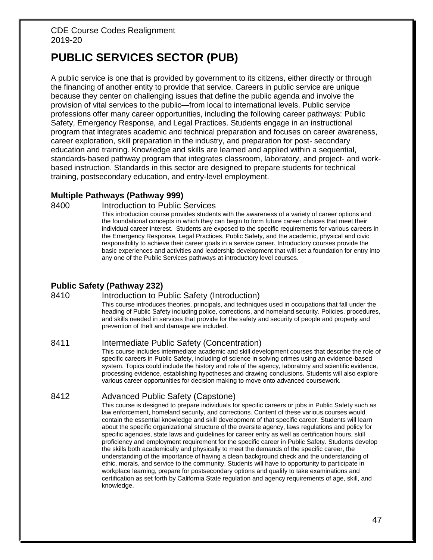# **PUBLIC SERVICES SECTOR (PUB)**

A public service is one that is provided by government to its citizens, either directly or through the financing of another entity to provide that service. Careers in public service are unique because they center on challenging issues that define the public agenda and involve the provision of vital services to the public—from local to international levels. Public service professions offer many career opportunities, including the following career pathways: Public Safety, Emergency Response, and Legal Practices. Students engage in an instructional program that integrates academic and technical preparation and focuses on career awareness, career exploration, skill preparation in the industry, and preparation for post- secondary education and training. Knowledge and skills are learned and applied within a sequential, standards-based pathway program that integrates classroom, laboratory, and project- and workbased instruction. Standards in this sector are designed to prepare students for technical training, postsecondary education, and entry-level employment.

### **Multiple Pathways (Pathway 999)**

8400 **Introduction to Public Services** 

This introduction course provides students with the awareness of a variety of career options and the foundational concepts in which they can begin to form future career choices that meet their individual career interest. Students are exposed to the specific requirements for various careers in the Emergency Response, Legal Practices, Public Safety, and the academic, physical and civic responsibility to achieve their career goals in a service career. Introductory courses provide the basic experiences and activities and leadership development that will set a foundation for entry into any one of the Public Services pathways at introductory level courses.

# **Public Safety (Pathway 232)**

#### 8410 Introduction to Public Safety (Introduction)

This course introduces theories, principals, and techniques used in occupations that fall under the heading of Public Safety including police, corrections, and homeland security. Policies, procedures, and skills needed in services that provide for the safety and security of people and property and prevention of theft and damage are included.

#### 8411 Intermediate Public Safety (Concentration)

This course includes intermediate academic and skill development courses that describe the role of specific careers in Public Safety, including of science in solving crimes using an evidence-based system. Topics could include the history and role of the agency, laboratory and scientific evidence, processing evidence, establishing hypotheses and drawing conclusions. Students will also explore various career opportunities for decision making to move onto advanced coursework.

#### 8412 Advanced Public Safety (Capstone)

This course is designed to prepare individuals for specific careers or jobs in Public Safety such as law enforcement, homeland security, and corrections. Content of these various courses would contain the essential knowledge and skill development of that specific career. Students will learn about the specific organizational structure of the oversite agency, laws regulations and policy for specific agencies, state laws and guidelines for career entry as well as certification hours, skill proficiency and employment requirement for the specific career in Public Safety. Students develop the skills both academically and physically to meet the demands of the specific career, the understanding of the importance of having a clean background check and the understanding of ethic, morals, and service to the community. Students will have to opportunity to participate in workplace learning, prepare for postsecondary options and qualify to take examinations and certification as set forth by California State regulation and agency requirements of age, skill, and knowledge.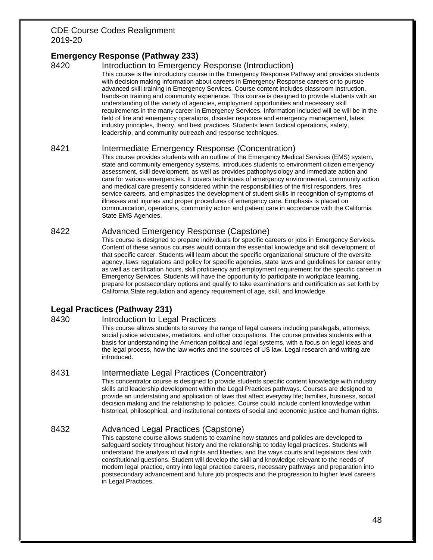# **Emergency Response (Pathway 233)**

### 8420 Introduction to Emergency Response (Introduction)

This course is the introductory course in the Emergency Response Pathway and provides students with decision making information about careers in Emergency Response careers or to pursue advanced skill training in Emergency Services. Course content includes classroom instruction, hands-on training and community experience. This course is designed to provide students with an understanding of the variety of agencies, employment opportunities and necessary skill requirements in the many career in Emergency Services. Information included will be will be in the field of fire and emergency operations, disaster response and emergency management, latest industry principles, theory, and best practices. Students learn tactical operations, safety, leadership, and community outreach and response techniques.

#### 8421 Intermediate Emergency Response (Concentration)

This course provides students with an outline of the Emergency Medical Services (EMS) system, state and community emergency systems, introduces students to environment citizen emergency assessment, skill development, as well as provides pathophysiology and immediate action and care for various emergencies. It covers techniques of emergency environmental, community action and medical care presently considered within the responsibilities of the first responders, fires service careers, and emphasizes the development of student skills in recognition of symptoms of illnesses and injuries and proper procedures of emergency care. Emphasis is placed on communication, operations, community action and patient care in accordance with the California State EMS Agencies.

#### 8422 Advanced Emergency Response (Capstone)

This course is designed to prepare individuals for specific careers or jobs in Emergency Services. Content of these various courses would contain the essential knowledge and skill development of that specific career. Students will learn about the specific organizational structure of the oversite agency, laws regulations and policy for specific agencies, state laws and guidelines for career entry as well as certification hours, skill proficiency and employment requirement for the specific career in Emergency Services. Students will have the opportunity to participate in workplace learning, prepare for postsecondary options and qualify to take examinations and certification as set forth by California State regulation and agency requirement of age, skill, and knowledge.

# **Legal Practices (Pathway 231)**

#### 8430 Introduction to Legal Practices

This course allows students to survey the range of legal careers including paralegals, attorneys, social justice advocates, mediators, and other occupations. The course provides students with a basis for understanding the American political and legal systems, with a focus on legal ideas and the legal process, how the law works and the sources of US law. Legal research and writing are introduced.

#### 8431 Intermediate Legal Practices (Concentrator)

This concentrator course is designed to provide students specific content knowledge with industry skills and leadership development within the Legal Practices pathways. Courses are designed to provide an understating and application of laws that affect everyday life; families, business, social decision making and the relationship to policies. Course could include content knowledge within historical, philosophical, and institutional contexts of social and economic justice and human rights.

# 8432 Advanced Legal Practices (Capstone)

This capstone course allows students to examine how statutes and policies are developed to safeguard society throughout history and the relationship to today legal practices. Students will understand the analysis of civil rights and liberties, and the ways courts and legislators deal with constitutional questions. Student will develop the skill and knowledge relevant to the needs of modern legal practice, entry into legal practice careers, necessary pathways and preparation into postsecondary advancement and future job prospects and the progression to higher level careers in Legal Practices.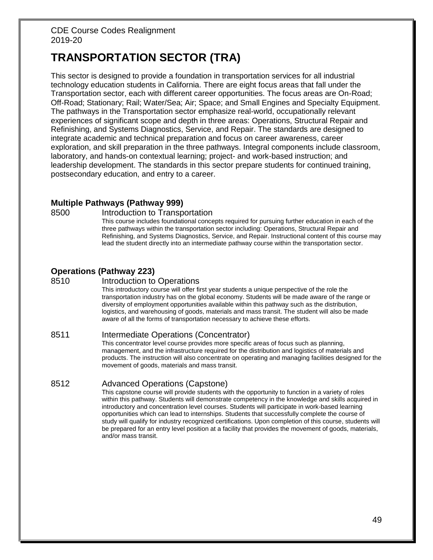# **TRANSPORTATION SECTOR (TRA)**

This sector is designed to provide a foundation in transportation services for all industrial technology education students in California. There are eight focus areas that fall under the Transportation sector, each with different career opportunities. The focus areas are On-Road; Off-Road; Stationary; Rail; Water/Sea; Air; Space; and Small Engines and Specialty Equipment. The pathways in the Transportation sector emphasize real-world, occupationally relevant experiences of significant scope and depth in three areas: Operations, Structural Repair and Refinishing, and Systems Diagnostics, Service, and Repair. The standards are designed to integrate academic and technical preparation and focus on career awareness, career exploration, and skill preparation in the three pathways. Integral components include classroom, laboratory, and hands-on contextual learning; project- and work-based instruction; and leadership development. The standards in this sector prepare students for continued training, postsecondary education, and entry to a career.

# **Multiple Pathways (Pathway 999)**

#### 8500 Introduction to Transportation

This course includes foundational concepts required for pursuing further education in each of the three pathways within the transportation sector including: Operations, Structural Repair and Refinishing, and Systems Diagnostics, Service, and Repair. Instructional content of this course may lead the student directly into an intermediate pathway course within the transportation sector.

# **Operations (Pathway 223)**

#### 8510 **Introduction to Operations**

This introductory course will offer first year students a unique perspective of the role the transportation industry has on the global economy. Students will be made aware of the range or diversity of employment opportunities available within this pathway such as the distribution, logistics, and warehousing of goods, materials and mass transit. The student will also be made aware of all the forms of transportation necessary to achieve these efforts.

#### 8511 Intermediate Operations (Concentrator)

This concentrator level course provides more specific areas of focus such as planning, management, and the infrastructure required for the distribution and logistics of materials and products. The instruction will also concentrate on operating and managing facilities designed for the movement of goods, materials and mass transit.

#### 8512 Advanced Operations (Capstone)

This capstone course will provide students with the opportunity to function in a variety of roles within this pathway. Students will demonstrate competency in the knowledge and skills acquired in introductory and concentration level courses. Students will participate in work-based learning opportunities which can lead to internships. Students that successfully complete the course of study will qualify for industry recognized certifications. Upon completion of this course, students will be prepared for an entry level position at a facility that provides the movement of goods, materials, and/or mass transit.